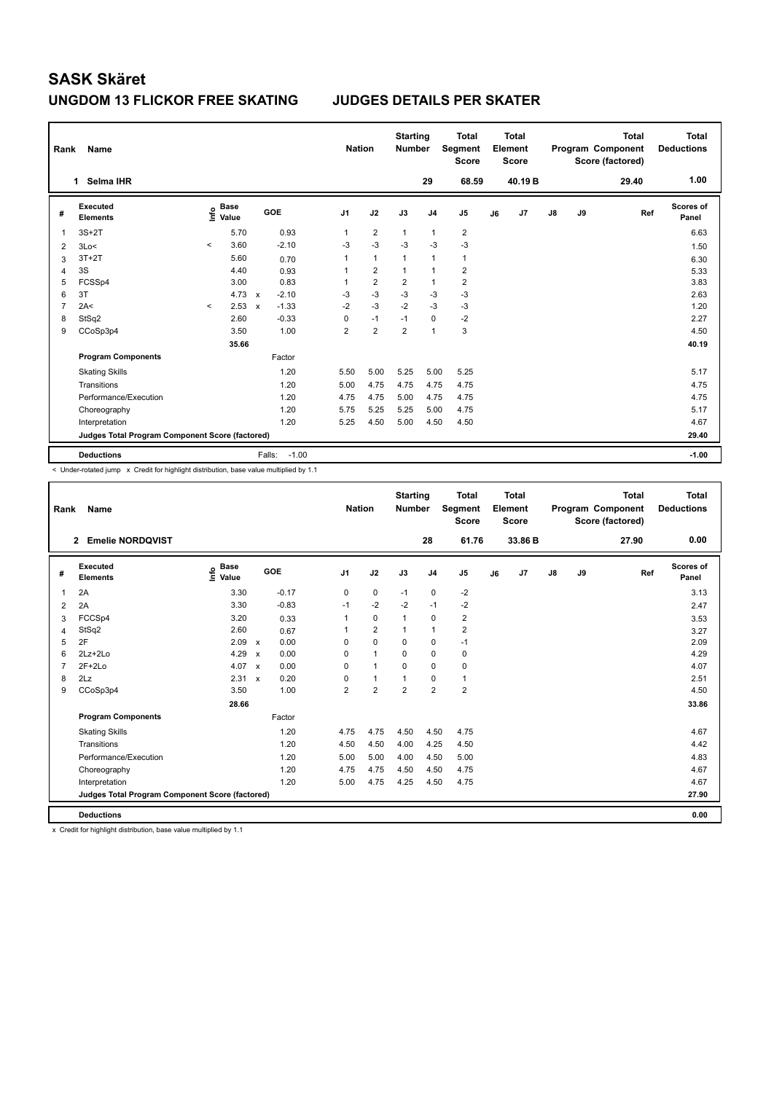| Rank           | Name                                            |                          |                                  |                           |                   | <b>Nation</b>  |                         | <b>Starting</b><br><b>Number</b> |                | <b>Total</b><br>Segment<br><b>Score</b> |    | <b>Total</b><br>Element<br><b>Score</b> |               |    | <b>Total</b><br>Program Component<br>Score (factored) | Total<br><b>Deductions</b> |
|----------------|-------------------------------------------------|--------------------------|----------------------------------|---------------------------|-------------------|----------------|-------------------------|----------------------------------|----------------|-----------------------------------------|----|-----------------------------------------|---------------|----|-------------------------------------------------------|----------------------------|
|                | Selma IHR<br>1                                  |                          |                                  |                           |                   |                |                         |                                  | 29             | 68.59                                   |    | 40.19 <sub>B</sub>                      |               |    | 29.40                                                 | 1.00                       |
| #              | Executed<br><b>Elements</b>                     |                          | <b>Base</b><br>e Base<br>⊆ Value |                           | GOE               | J <sub>1</sub> | J2                      | J3                               | J <sub>4</sub> | J <sub>5</sub>                          | J6 | J7                                      | $\mathsf{J}8$ | J9 | Ref                                                   | <b>Scores of</b><br>Panel  |
| 1              | $3S+2T$                                         |                          | 5.70                             |                           | 0.93              | 1              | $\overline{2}$          | $\mathbf{1}$                     | $\mathbf{1}$   | $\overline{2}$                          |    |                                         |               |    |                                                       | 6.63                       |
| 2              | 3Lo<                                            | $\overline{\phantom{a}}$ | 3.60                             |                           | $-2.10$           | $-3$           | $-3$                    | $-3$                             | $-3$           | $-3$                                    |    |                                         |               |    |                                                       | 1.50                       |
| 3              | $3T+2T$                                         |                          | 5.60                             |                           | 0.70              | 1              | $\mathbf{1}$            | 1                                | $\overline{1}$ | $\mathbf{1}$                            |    |                                         |               |    |                                                       | 6.30                       |
| 4              | 3S                                              |                          | 4.40                             |                           | 0.93              | 1              | $\overline{2}$          | 1                                | $\overline{1}$ | $\overline{2}$                          |    |                                         |               |    |                                                       | 5.33                       |
| 5              | FCSSp4                                          |                          | 3.00                             |                           | 0.83              | 1              | $\overline{2}$          | $\overline{\mathbf{c}}$          | $\overline{1}$ | $\overline{2}$                          |    |                                         |               |    |                                                       | 3.83                       |
| 6              | 3T                                              |                          | 4.73                             | $\mathsf{x}$              | $-2.10$           | $-3$           | $-3$                    | $-3$                             | $-3$           | $-3$                                    |    |                                         |               |    |                                                       | 2.63                       |
| $\overline{7}$ | 2A<                                             | $\hat{\phantom{a}}$      | 2.53                             | $\boldsymbol{\mathsf{x}}$ | $-1.33$           | $-2$           | $-3$                    | $-2$                             | $-3$           | $-3$                                    |    |                                         |               |    |                                                       | 1.20                       |
| 8              | StSq2                                           |                          | 2.60                             |                           | $-0.33$           | 0              | $-1$                    | $-1$                             | $\mathbf 0$    | $-2$                                    |    |                                         |               |    |                                                       | 2.27                       |
| 9              | CCoSp3p4                                        |                          | 3.50                             |                           | 1.00              | $\overline{2}$ | $\overline{\mathbf{c}}$ | $\overline{2}$                   | $\overline{1}$ | 3                                       |    |                                         |               |    |                                                       | 4.50                       |
|                |                                                 |                          | 35.66                            |                           |                   |                |                         |                                  |                |                                         |    |                                         |               |    |                                                       | 40.19                      |
|                | <b>Program Components</b>                       |                          |                                  |                           | Factor            |                |                         |                                  |                |                                         |    |                                         |               |    |                                                       |                            |
|                | <b>Skating Skills</b>                           |                          |                                  |                           | 1.20              | 5.50           | 5.00                    | 5.25                             | 5.00           | 5.25                                    |    |                                         |               |    |                                                       | 5.17                       |
|                | Transitions                                     |                          |                                  |                           | 1.20              | 5.00           | 4.75                    | 4.75                             | 4.75           | 4.75                                    |    |                                         |               |    |                                                       | 4.75                       |
|                | Performance/Execution                           |                          |                                  |                           | 1.20              | 4.75           | 4.75                    | 5.00                             | 4.75           | 4.75                                    |    |                                         |               |    |                                                       | 4.75                       |
|                | Choreography                                    |                          |                                  |                           | 1.20              | 5.75           | 5.25                    | 5.25                             | 5.00           | 4.75                                    |    |                                         |               |    |                                                       | 5.17                       |
|                | Interpretation                                  |                          |                                  |                           | 1.20              | 5.25           | 4.50                    | 5.00                             | 4.50           | 4.50                                    |    |                                         |               |    |                                                       | 4.67                       |
|                | Judges Total Program Component Score (factored) |                          |                                  |                           |                   |                |                         |                                  |                |                                         |    |                                         |               |    |                                                       | 29.40                      |
|                | <b>Deductions</b>                               |                          |                                  |                           | $-1.00$<br>Falls: |                |                         |                                  |                |                                         |    |                                         |               |    |                                                       | $-1.00$                    |

< Under-rotated jump x Credit for highlight distribution, base value multiplied by 1.1

| Rank           | Name                                            |                                  |                      | <b>Nation</b>  |                | <b>Starting</b><br><b>Number</b> |                | Total<br>Segment<br><b>Score</b> |    | <b>Total</b><br>Element<br><b>Score</b> |    |    | <b>Total</b><br>Program Component<br>Score (factored) | <b>Total</b><br><b>Deductions</b> |
|----------------|-------------------------------------------------|----------------------------------|----------------------|----------------|----------------|----------------------------------|----------------|----------------------------------|----|-----------------------------------------|----|----|-------------------------------------------------------|-----------------------------------|
|                | <b>Emelie NORDQVIST</b><br>$\mathbf{2}$         |                                  |                      |                |                |                                  | 28             | 61.76                            |    | 33.86 B                                 |    |    | 27.90                                                 | 0.00                              |
| #              | Executed<br><b>Elements</b>                     | <b>Base</b><br>e Base<br>E Value | GOE                  | J <sub>1</sub> | J2             | J3                               | J <sub>4</sub> | J <sub>5</sub>                   | J6 | J <sub>7</sub>                          | J8 | J9 | Ref                                                   | <b>Scores of</b><br>Panel         |
| $\mathbf{1}$   | 2A                                              | 3.30                             | $-0.17$              | 0              | $\mathbf 0$    | $-1$                             | $\mathbf 0$    | $-2$                             |    |                                         |    |    |                                                       | 3.13                              |
| 2              | 2A                                              | 3.30                             | $-0.83$              | $-1$           | $-2$           | $-2$                             | $-1$           | $-2$                             |    |                                         |    |    |                                                       | 2.47                              |
| 3              | FCCSp4                                          | 3.20                             | 0.33                 | 1              | 0              | $\mathbf{1}$                     | 0              | $\overline{\mathbf{c}}$          |    |                                         |    |    |                                                       | 3.53                              |
| $\overline{4}$ | StSq2                                           | 2.60                             | 0.67                 | 1              | $\overline{2}$ | $\mathbf{1}$                     | $\mathbf{1}$   | $\overline{\mathbf{c}}$          |    |                                         |    |    |                                                       | 3.27                              |
| 5              | 2F                                              | 2.09                             | 0.00<br>$\mathsf{x}$ | $\Omega$       | $\Omega$       | $\Omega$                         | $\mathbf 0$    | $-1$                             |    |                                         |    |    |                                                       | 2.09                              |
| 6              | $2Lz + 2Lo$                                     | 4.29                             | 0.00<br>$\mathsf{x}$ | $\Omega$       | $\mathbf{1}$   | $\Omega$                         | 0              | 0                                |    |                                         |    |    |                                                       | 4.29                              |
| $\overline{7}$ | $2F+2Lo$                                        | 4.07                             | 0.00<br>$\mathsf{x}$ | 0              | $\mathbf{1}$   | $\mathbf 0$                      | $\mathbf 0$    | 0                                |    |                                         |    |    |                                                       | 4.07                              |
| 8              | 2Lz                                             | 2.31                             | 0.20<br>$\mathbf{x}$ | $\Omega$       | $\mathbf{1}$   | $\mathbf{1}$                     | $\Omega$       | 1                                |    |                                         |    |    |                                                       | 2.51                              |
| 9              | CCoSp3p4                                        | 3.50                             | 1.00                 | $\overline{2}$ | $\overline{2}$ | $\overline{2}$                   | $\overline{2}$ | $\overline{\mathbf{c}}$          |    |                                         |    |    |                                                       | 4.50                              |
|                |                                                 | 28.66                            |                      |                |                |                                  |                |                                  |    |                                         |    |    |                                                       | 33.86                             |
|                | <b>Program Components</b>                       |                                  | Factor               |                |                |                                  |                |                                  |    |                                         |    |    |                                                       |                                   |
|                | <b>Skating Skills</b>                           |                                  | 1.20                 | 4.75           | 4.75           | 4.50                             | 4.50           | 4.75                             |    |                                         |    |    |                                                       | 4.67                              |
|                | Transitions                                     |                                  | 1.20                 | 4.50           | 4.50           | 4.00                             | 4.25           | 4.50                             |    |                                         |    |    |                                                       | 4.42                              |
|                | Performance/Execution                           |                                  | 1.20                 | 5.00           | 5.00           | 4.00                             | 4.50           | 5.00                             |    |                                         |    |    |                                                       | 4.83                              |
|                | Choreography                                    |                                  | 1.20                 | 4.75           | 4.75           | 4.50                             | 4.50           | 4.75                             |    |                                         |    |    |                                                       | 4.67                              |
|                | Interpretation                                  |                                  | 1.20                 | 5.00           | 4.75           | 4.25                             | 4.50           | 4.75                             |    |                                         |    |    |                                                       | 4.67                              |
|                | Judges Total Program Component Score (factored) |                                  |                      |                |                |                                  |                |                                  |    |                                         |    |    |                                                       | 27.90                             |
|                | <b>Deductions</b>                               |                                  |                      |                |                |                                  |                |                                  |    |                                         |    |    |                                                       | 0.00                              |

x Credit for highlight distribution, base value multiplied by 1.1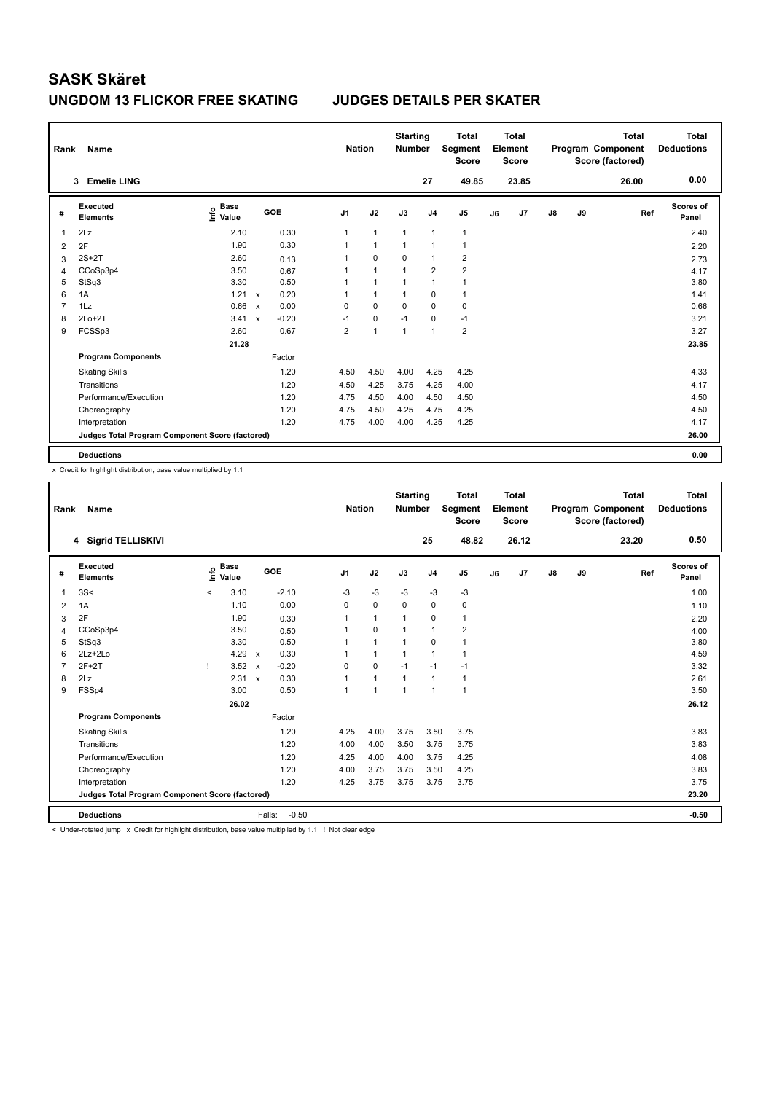### **UNGDOM 13 FLICKOR FREE SKATING JUDGES DETAILS PER SKATER**

| Rank | Name                                            |                                    |                           |         |                | <b>Nation</b> | <b>Starting</b><br><b>Number</b> |                | <b>Total</b><br>Segment<br><b>Score</b> |    | <b>Total</b><br>Element<br><b>Score</b> |               |    | <b>Total</b><br>Program Component<br>Score (factored) | Total<br><b>Deductions</b> |
|------|-------------------------------------------------|------------------------------------|---------------------------|---------|----------------|---------------|----------------------------------|----------------|-----------------------------------------|----|-----------------------------------------|---------------|----|-------------------------------------------------------|----------------------------|
|      | <b>Emelie LING</b><br>3                         |                                    |                           |         |                |               |                                  | 27             | 49.85                                   |    | 23.85                                   |               |    | 26.00                                                 | 0.00                       |
| #    | Executed<br><b>Elements</b>                     | <b>Base</b><br>$\frac{6}{5}$ Value |                           | GOE     | J <sub>1</sub> | J2            | J3                               | J4             | J <sub>5</sub>                          | J6 | J7                                      | $\mathsf{J}8$ | J9 | Ref                                                   | <b>Scores of</b><br>Panel  |
| -1   | 2Lz                                             | 2.10                               |                           | 0.30    | 1              | $\mathbf{1}$  | $\mathbf{1}$                     | 1              | $\overline{1}$                          |    |                                         |               |    |                                                       | 2.40                       |
| 2    | 2F                                              | 1.90                               |                           | 0.30    | 1              | $\mathbf{1}$  | $\mathbf{1}$                     | 1              | $\overline{1}$                          |    |                                         |               |    |                                                       | 2.20                       |
| 3    | $2S+2T$                                         | 2.60                               |                           | 0.13    | 1              | $\mathbf 0$   | 0                                | 1              | 2                                       |    |                                         |               |    |                                                       | 2.73                       |
| 4    | CCoSp3p4                                        | 3.50                               |                           | 0.67    | 1              | 1             | $\mathbf{1}$                     | $\overline{2}$ | $\overline{2}$                          |    |                                         |               |    |                                                       | 4.17                       |
| 5    | StSq3                                           | 3.30                               |                           | 0.50    | 1              | $\mathbf{1}$  | $\mathbf{1}$                     | 1              | 1                                       |    |                                         |               |    |                                                       | 3.80                       |
| 6    | 1A                                              | 1.21                               | $\mathsf{x}$              | 0.20    | 1              | $\mathbf{1}$  | 1                                | 0              | 1                                       |    |                                         |               |    |                                                       | 1.41                       |
| 7    | 1Lz                                             | 0.66                               | $\boldsymbol{\mathsf{x}}$ | 0.00    | 0              | 0             | 0                                | 0              | 0                                       |    |                                         |               |    |                                                       | 0.66                       |
| 8    | $2Lo+2T$                                        | 3.41                               | $\boldsymbol{\mathsf{x}}$ | $-0.20$ | $-1$           | $\mathbf 0$   | $-1$                             | 0              | $-1$                                    |    |                                         |               |    |                                                       | 3.21                       |
| 9    | FCSSp3                                          | 2.60                               |                           | 0.67    | $\overline{2}$ | 1             | 1                                | 1              | $\overline{\mathbf{c}}$                 |    |                                         |               |    |                                                       | 3.27                       |
|      |                                                 | 21.28                              |                           |         |                |               |                                  |                |                                         |    |                                         |               |    |                                                       | 23.85                      |
|      | <b>Program Components</b>                       |                                    |                           | Factor  |                |               |                                  |                |                                         |    |                                         |               |    |                                                       |                            |
|      | <b>Skating Skills</b>                           |                                    |                           | 1.20    | 4.50           | 4.50          | 4.00                             | 4.25           | 4.25                                    |    |                                         |               |    |                                                       | 4.33                       |
|      | Transitions                                     |                                    |                           | 1.20    | 4.50           | 4.25          | 3.75                             | 4.25           | 4.00                                    |    |                                         |               |    |                                                       | 4.17                       |
|      | Performance/Execution                           |                                    |                           | 1.20    | 4.75           | 4.50          | 4.00                             | 4.50           | 4.50                                    |    |                                         |               |    |                                                       | 4.50                       |
|      | Choreography                                    |                                    |                           | 1.20    | 4.75           | 4.50          | 4.25                             | 4.75           | 4.25                                    |    |                                         |               |    |                                                       | 4.50                       |
|      | Interpretation                                  |                                    |                           | 1.20    | 4.75           | 4.00          | 4.00                             | 4.25           | 4.25                                    |    |                                         |               |    |                                                       | 4.17                       |
|      | Judges Total Program Component Score (factored) |                                    |                           |         |                |               |                                  |                |                                         |    |                                         |               |    |                                                       | 26.00                      |
|      | <b>Deductions</b>                               |                                    |                           |         |                |               |                                  |                |                                         |    |                                         |               |    |                                                       | 0.00                       |

x Credit for highlight distribution, base value multiplied by 1.1

| Rank                    | Name                                            |         |                      |                           |         | <b>Nation</b>  |                | <b>Starting</b><br><b>Number</b> |                | <b>Total</b><br><b>Segment</b><br><b>Score</b> |    | Total<br>Element<br><b>Score</b> |               |    | <b>Total</b><br>Program Component<br>Score (factored) | Total<br><b>Deductions</b> |
|-------------------------|-------------------------------------------------|---------|----------------------|---------------------------|---------|----------------|----------------|----------------------------------|----------------|------------------------------------------------|----|----------------------------------|---------------|----|-------------------------------------------------------|----------------------------|
|                         | 4 Sigrid TELLISKIVI                             |         |                      |                           |         |                |                |                                  | 25             | 48.82                                          |    | 26.12                            |               |    | 23.20                                                 | 0.50                       |
| #                       | Executed<br><b>Elements</b>                     | lnfo    | <b>Base</b><br>Value |                           | GOE     | J <sub>1</sub> | J2             | J3                               | J <sub>4</sub> | J <sub>5</sub>                                 | J6 | J7                               | $\mathsf{J}8$ | J9 | Ref                                                   | <b>Scores of</b><br>Panel  |
| $\mathbf{1}$            | 3S<                                             | $\prec$ | 3.10                 |                           | $-2.10$ | $-3$           | $-3$           | $-3$                             | $-3$           | $-3$                                           |    |                                  |               |    |                                                       | 1.00                       |
| $\overline{\mathbf{c}}$ | 1A                                              |         | 1.10                 |                           | 0.00    | $\mathbf 0$    | $\mathbf 0$    | $\mathbf 0$                      | $\mathbf 0$    | $\mathbf 0$                                    |    |                                  |               |    |                                                       | 1.10                       |
| 3                       | 2F                                              |         | 1.90                 |                           | 0.30    | 1              | $\mathbf{1}$   | $\mathbf{1}$                     | $\mathbf 0$    | $\mathbf{1}$                                   |    |                                  |               |    |                                                       | 2.20                       |
| 4                       | CCoSp3p4                                        |         | 3.50                 |                           | 0.50    | 1              | $\Omega$       |                                  | $\mathbf{1}$   | $\overline{\mathbf{c}}$                        |    |                                  |               |    |                                                       | 4.00                       |
| 5                       | StSq3                                           |         | 3.30                 |                           | 0.50    |                | $\overline{1}$ | $\overline{1}$                   | $\mathbf 0$    | $\mathbf{1}$                                   |    |                                  |               |    |                                                       | 3.80                       |
| 6                       | $2Lz+2Lo$                                       |         | 4.29                 | $\boldsymbol{\mathsf{x}}$ | 0.30    | 1              | $\mathbf{1}$   | 1                                | $\mathbf{1}$   | $\mathbf{1}$                                   |    |                                  |               |    |                                                       | 4.59                       |
| $\overline{7}$          | $2F+2T$                                         | т       | 3.52                 | $\boldsymbol{\mathsf{x}}$ | $-0.20$ | 0              | $\mathbf 0$    | $-1$                             | $-1$           | $-1$                                           |    |                                  |               |    |                                                       | 3.32                       |
| 8                       | 2Lz                                             |         | 2.31                 | $\mathsf{x}$              | 0.30    | 1              | $\mathbf{1}$   | $\mathbf{1}$                     | $\mathbf{1}$   | $\mathbf{1}$                                   |    |                                  |               |    |                                                       | 2.61                       |
| 9                       | FSSp4                                           |         | 3.00                 |                           | 0.50    | 1              | $\overline{1}$ | 1                                | $\mathbf{1}$   | $\mathbf{1}$                                   |    |                                  |               |    |                                                       | 3.50                       |
|                         |                                                 |         | 26.02                |                           |         |                |                |                                  |                |                                                |    |                                  |               |    |                                                       | 26.12                      |
|                         | <b>Program Components</b>                       |         |                      |                           | Factor  |                |                |                                  |                |                                                |    |                                  |               |    |                                                       |                            |
|                         | <b>Skating Skills</b>                           |         |                      |                           | 1.20    | 4.25           | 4.00           | 3.75                             | 3.50           | 3.75                                           |    |                                  |               |    |                                                       | 3.83                       |
|                         | Transitions                                     |         |                      |                           | 1.20    | 4.00           | 4.00           | 3.50                             | 3.75           | 3.75                                           |    |                                  |               |    |                                                       | 3.83                       |
|                         | Performance/Execution                           |         |                      |                           | 1.20    | 4.25           | 4.00           | 4.00                             | 3.75           | 4.25                                           |    |                                  |               |    |                                                       | 4.08                       |
|                         | Choreography                                    |         |                      |                           | 1.20    | 4.00           | 3.75           | 3.75                             | 3.50           | 4.25                                           |    |                                  |               |    |                                                       | 3.83                       |
|                         | Interpretation                                  |         |                      |                           | 1.20    | 4.25           | 3.75           | 3.75                             | 3.75           | 3.75                                           |    |                                  |               |    |                                                       | 3.75                       |
|                         | Judges Total Program Component Score (factored) |         |                      |                           |         |                |                |                                  |                |                                                |    |                                  |               |    |                                                       | 23.20                      |
|                         | <b>Deductions</b>                               |         |                      | Falls:                    | $-0.50$ |                |                |                                  |                |                                                |    |                                  |               |    |                                                       | $-0.50$                    |

< Under-rotated jump x Credit for highlight distribution, base value multiplied by 1.1 ! Not clear edge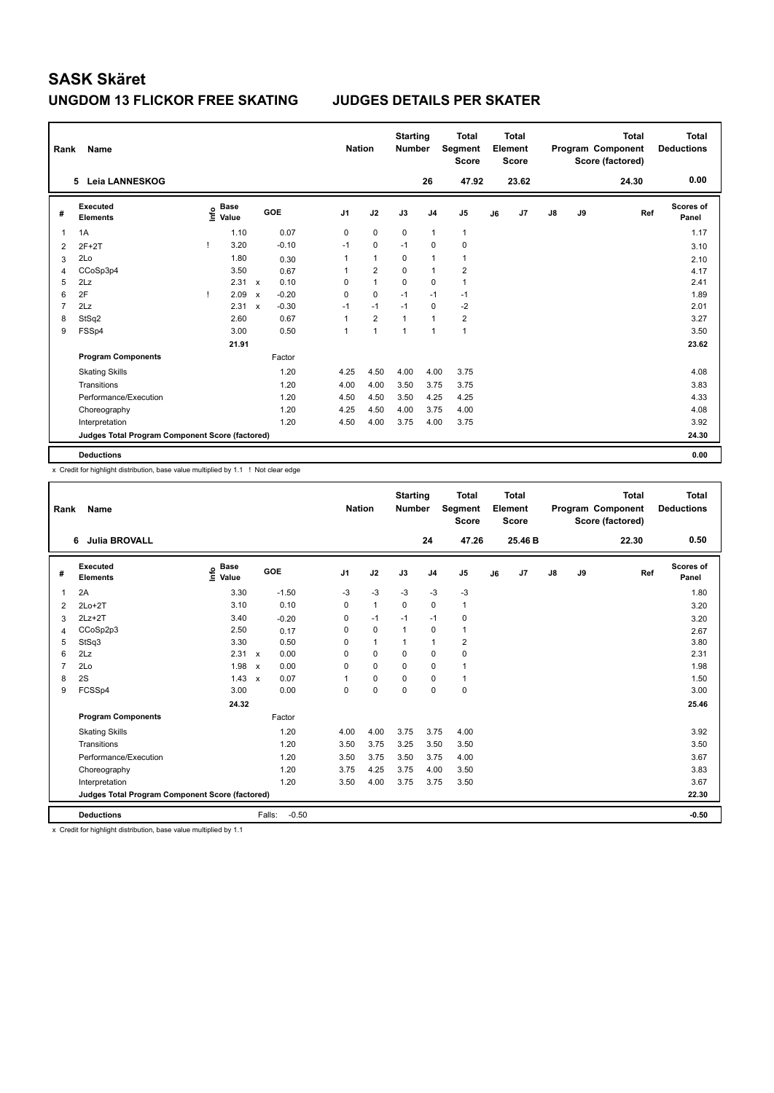### **UNGDOM 13 FLICKOR FREE SKATING JUDGES DETAILS PER SKATER**

| Rank           | Name                                            |              |                                  |                           |         |                | <b>Nation</b> |                | <b>Starting</b><br><b>Number</b> |                | <b>Total</b><br>Segment<br><b>Score</b> |    | Total<br>Element<br><b>Score</b> |               |    | Total<br>Program Component<br>Score (factored) | <b>Total</b><br><b>Deductions</b> |
|----------------|-------------------------------------------------|--------------|----------------------------------|---------------------------|---------|----------------|---------------|----------------|----------------------------------|----------------|-----------------------------------------|----|----------------------------------|---------------|----|------------------------------------------------|-----------------------------------|
|                | <b>Leia LANNESKOG</b><br>5.                     |              |                                  |                           |         |                |               |                |                                  | 26             | 47.92                                   |    | 23.62                            |               |    | 24.30                                          | 0.00                              |
| #              | Executed<br><b>Elements</b>                     |              | <b>Base</b><br>e Base<br>⊆ Value |                           | GOE     | J <sub>1</sub> |               | J2             | J3                               | J <sub>4</sub> | J <sub>5</sub>                          | J6 | J7                               | $\mathsf{J}8$ | J9 | Ref                                            | <b>Scores of</b><br>Panel         |
| 1              | 1A                                              |              | 1.10                             |                           | 0.07    | 0              |               | $\mathbf 0$    | $\mathbf 0$                      | $\overline{1}$ | $\mathbf{1}$                            |    |                                  |               |    |                                                | 1.17                              |
| $\overline{2}$ | $2F+2T$                                         |              | 3.20                             |                           | $-0.10$ | $-1$           |               | $\mathbf 0$    | $-1$                             | 0              | 0                                       |    |                                  |               |    |                                                | 3.10                              |
| 3              | 2Lo                                             |              | 1.80                             |                           | 0.30    | 1              |               | $\mathbf{1}$   | $\Omega$                         | $\mathbf{1}$   | $\mathbf{1}$                            |    |                                  |               |    |                                                | 2.10                              |
| 4              | CCoSp3p4                                        |              | 3.50                             |                           | 0.67    | 1              |               | $\overline{2}$ | $\mathbf 0$                      | $\overline{1}$ | $\overline{2}$                          |    |                                  |               |    |                                                | 4.17                              |
| 5              | 2Lz                                             |              | 2.31                             | $\mathsf{x}$              | 0.10    | 0              |               | $\mathbf{1}$   | $\mathbf 0$                      | 0              | $\mathbf{1}$                            |    |                                  |               |    |                                                | 2.41                              |
| 6              | 2F                                              | $\mathbf{I}$ | 2.09                             | $\boldsymbol{\mathsf{x}}$ | $-0.20$ | 0              |               | $\mathbf 0$    | $-1$                             | $-1$           | $-1$                                    |    |                                  |               |    |                                                | 1.89                              |
| 7              | 2Lz                                             |              | 2.31                             | $\boldsymbol{\mathsf{x}}$ | $-0.30$ | $-1$           |               | $-1$           | $-1$                             | $\mathbf 0$    | $-2$                                    |    |                                  |               |    |                                                | 2.01                              |
| 8              | StSq2                                           |              | 2.60                             |                           | 0.67    | 1              |               | $\overline{2}$ | 1                                | $\mathbf{1}$   | $\overline{\mathbf{c}}$                 |    |                                  |               |    |                                                | 3.27                              |
| 9              | FSSp4                                           |              | 3.00                             |                           | 0.50    | 1              |               | 1              | 1                                | 1              | $\overline{1}$                          |    |                                  |               |    |                                                | 3.50                              |
|                |                                                 |              | 21.91                            |                           |         |                |               |                |                                  |                |                                         |    |                                  |               |    |                                                | 23.62                             |
|                | <b>Program Components</b>                       |              |                                  |                           | Factor  |                |               |                |                                  |                |                                         |    |                                  |               |    |                                                |                                   |
|                | <b>Skating Skills</b>                           |              |                                  |                           | 1.20    | 4.25           |               | 4.50           | 4.00                             | 4.00           | 3.75                                    |    |                                  |               |    |                                                | 4.08                              |
|                | Transitions                                     |              |                                  |                           | 1.20    | 4.00           |               | 4.00           | 3.50                             | 3.75           | 3.75                                    |    |                                  |               |    |                                                | 3.83                              |
|                | Performance/Execution                           |              |                                  |                           | 1.20    | 4.50           |               | 4.50           | 3.50                             | 4.25           | 4.25                                    |    |                                  |               |    |                                                | 4.33                              |
|                | Choreography                                    |              |                                  |                           | 1.20    | 4.25           |               | 4.50           | 4.00                             | 3.75           | 4.00                                    |    |                                  |               |    |                                                | 4.08                              |
|                | Interpretation                                  |              |                                  |                           | 1.20    | 4.50           |               | 4.00           | 3.75                             | 4.00           | 3.75                                    |    |                                  |               |    |                                                | 3.92                              |
|                | Judges Total Program Component Score (factored) |              |                                  |                           |         |                |               |                |                                  |                |                                         |    |                                  |               |    |                                                | 24.30                             |
|                | <b>Deductions</b>                               |              |                                  |                           |         |                |               |                |                                  |                |                                         |    |                                  |               |    |                                                | 0.00                              |

x Credit for highlight distribution, base value multiplied by 1.1 ! Not clear edge

| Rank           | <b>Name</b>                                     |                                  |                           |         | <b>Nation</b>  |              | <b>Starting</b><br><b>Number</b> |                | <b>Total</b><br>Segment<br><b>Score</b> |    | Total<br>Element<br><b>Score</b> |               |    | <b>Total</b><br>Program Component<br>Score (factored) | <b>Total</b><br><b>Deductions</b> |
|----------------|-------------------------------------------------|----------------------------------|---------------------------|---------|----------------|--------------|----------------------------------|----------------|-----------------------------------------|----|----------------------------------|---------------|----|-------------------------------------------------------|-----------------------------------|
|                | <b>Julia BROVALL</b><br>6                       |                                  |                           |         |                |              |                                  | 24             | 47.26                                   |    | 25.46 B                          |               |    | 22.30                                                 | 0.50                              |
| #              | Executed<br><b>Elements</b>                     | <b>Base</b><br>e Base<br>⊆ Value | GOE                       |         | J <sub>1</sub> | J2           | J3                               | J <sub>4</sub> | J <sub>5</sub>                          | J6 | J <sub>7</sub>                   | $\mathsf{J}8$ | J9 | Ref                                                   | Scores of<br>Panel                |
| $\overline{1}$ | 2A                                              | 3.30                             |                           | $-1.50$ | $-3$           | $-3$         | $-3$                             | $-3$           | $-3$                                    |    |                                  |               |    |                                                       | 1.80                              |
| 2              | $2Lo+2T$                                        | 3.10                             |                           | 0.10    | 0              | $\mathbf{1}$ | $\mathbf 0$                      | $\mathbf 0$    | 1                                       |    |                                  |               |    |                                                       | 3.20                              |
| 3              | $2Lz+2T$                                        | 3.40                             |                           | $-0.20$ | 0              | $-1$         | $-1$                             | $-1$           | 0                                       |    |                                  |               |    |                                                       | 3.20                              |
| 4              | CCoSp2p3                                        | 2.50                             |                           | 0.17    | 0              | $\mathbf 0$  | $\mathbf{1}$                     | $\mathbf 0$    | 1                                       |    |                                  |               |    |                                                       | 2.67                              |
| 5              | StSq3                                           | 3.30                             |                           | 0.50    | 0              | $\mathbf{1}$ | 1                                | $\mathbf{1}$   | $\overline{2}$                          |    |                                  |               |    |                                                       | 3.80                              |
| 6              | 2Lz                                             | 2.31                             | $\mathbf{x}$              | 0.00    | 0              | $\mathbf 0$  | $\Omega$                         | $\mathbf 0$    | 0                                       |    |                                  |               |    |                                                       | 2.31                              |
| $\overline{7}$ | 2Lo                                             | 1.98                             | $\mathsf{x}$              | 0.00    | 0              | $\mathbf 0$  | $\mathbf 0$                      | $\mathbf 0$    | 1                                       |    |                                  |               |    |                                                       | 1.98                              |
| 8              | 2S                                              | 1.43                             | $\boldsymbol{\mathsf{x}}$ | 0.07    |                | $\mathbf 0$  | $\mathbf 0$                      | $\mathbf 0$    | 1                                       |    |                                  |               |    |                                                       | 1.50                              |
| 9              | FCSSp4                                          | 3.00                             |                           | 0.00    | 0              | $\mathbf 0$  | $\Omega$                         | 0              | $\mathbf 0$                             |    |                                  |               |    |                                                       | 3.00                              |
|                |                                                 | 24.32                            |                           |         |                |              |                                  |                |                                         |    |                                  |               |    |                                                       | 25.46                             |
|                | <b>Program Components</b>                       |                                  |                           | Factor  |                |              |                                  |                |                                         |    |                                  |               |    |                                                       |                                   |
|                | <b>Skating Skills</b>                           |                                  |                           | 1.20    | 4.00           | 4.00         | 3.75                             | 3.75           | 4.00                                    |    |                                  |               |    |                                                       | 3.92                              |
|                | Transitions                                     |                                  |                           | 1.20    | 3.50           | 3.75         | 3.25                             | 3.50           | 3.50                                    |    |                                  |               |    |                                                       | 3.50                              |
|                | Performance/Execution                           |                                  |                           | 1.20    | 3.50           | 3.75         | 3.50                             | 3.75           | 4.00                                    |    |                                  |               |    |                                                       | 3.67                              |
|                | Choreography                                    |                                  |                           | 1.20    | 3.75           | 4.25         | 3.75                             | 4.00           | 3.50                                    |    |                                  |               |    |                                                       | 3.83                              |
|                | Interpretation                                  |                                  |                           | 1.20    | 3.50           | 4.00         | 3.75                             | 3.75           | 3.50                                    |    |                                  |               |    |                                                       | 3.67                              |
|                | Judges Total Program Component Score (factored) |                                  |                           |         |                |              |                                  |                |                                         |    |                                  |               |    |                                                       | 22.30                             |
|                | <b>Deductions</b>                               |                                  | Falls:                    | $-0.50$ |                |              |                                  |                |                                         |    |                                  |               |    |                                                       | $-0.50$                           |

x Credit for highlight distribution, base value multiplied by 1.1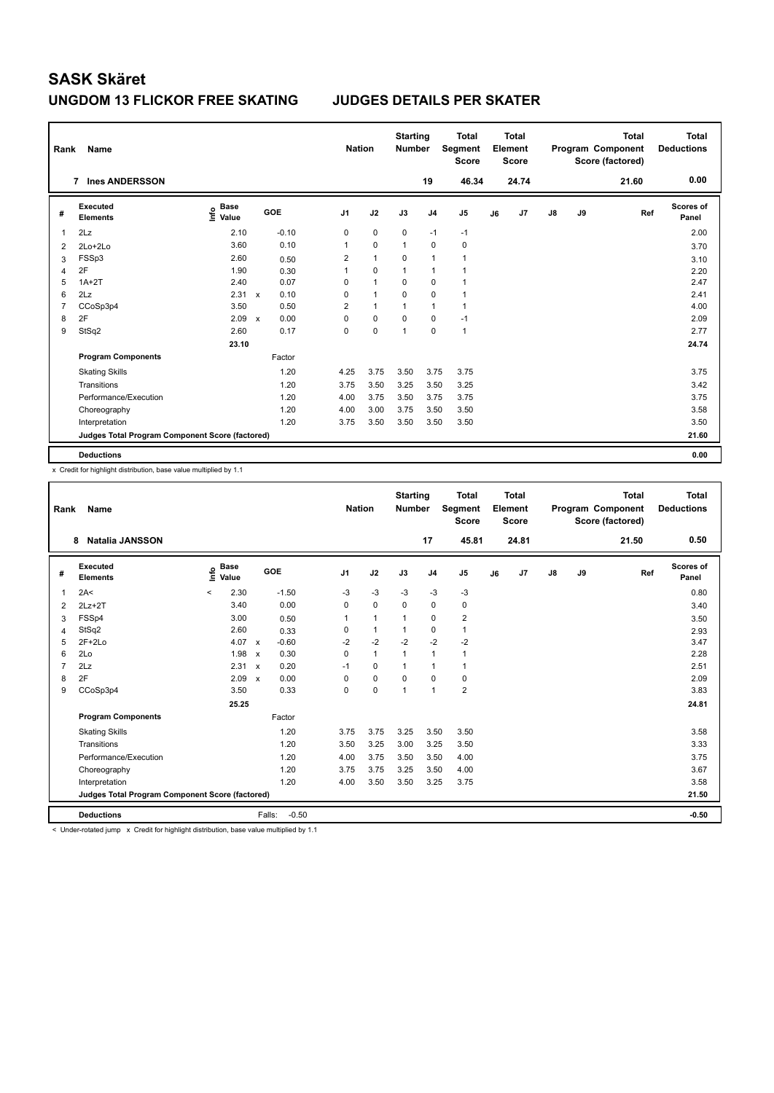### **UNGDOM 13 FLICKOR FREE SKATING JUDGES DETAILS PER SKATER**

| Rank           | Name                                            |                                  |              |         |                | <b>Nation</b> | <b>Starting</b><br><b>Number</b> |                | <b>Total</b><br>Segment<br><b>Score</b> |    | <b>Total</b><br>Element<br><b>Score</b> |               |    | <b>Total</b><br>Program Component<br>Score (factored) | <b>Total</b><br><b>Deductions</b> |
|----------------|-------------------------------------------------|----------------------------------|--------------|---------|----------------|---------------|----------------------------------|----------------|-----------------------------------------|----|-----------------------------------------|---------------|----|-------------------------------------------------------|-----------------------------------|
|                | <b>Ines ANDERSSON</b><br>$\overline{7}$         |                                  |              |         |                |               |                                  | 19             | 46.34                                   |    | 24.74                                   |               |    | 21.60                                                 | 0.00                              |
| #              | Executed<br><b>Elements</b>                     | <b>Base</b><br>e Base<br>⊆ Value |              | GOE     | J1             | J2            | J3                               | J <sub>4</sub> | J <sub>5</sub>                          | J6 | J <sub>7</sub>                          | $\mathsf{J}8$ | J9 | Ref                                                   | Scores of<br>Panel                |
| 1              | 2Lz                                             | 2.10                             |              | $-0.10$ | 0              | $\mathbf 0$   | $\mathbf 0$                      | $-1$           | $-1$                                    |    |                                         |               |    |                                                       | 2.00                              |
| $\overline{2}$ | 2Lo+2Lo                                         | 3.60                             |              | 0.10    | 1              | $\mathbf 0$   | $\mathbf{1}$                     | $\mathbf 0$    | $\mathbf 0$                             |    |                                         |               |    |                                                       | 3.70                              |
| 3              | FSSp3                                           | 2.60                             |              | 0.50    | 2              | $\mathbf{1}$  | 0                                | $\overline{1}$ | $\mathbf{1}$                            |    |                                         |               |    |                                                       | 3.10                              |
| 4              | 2F                                              | 1.90                             |              | 0.30    | 1              | $\mathbf 0$   | 1                                | $\overline{1}$ | $\overline{1}$                          |    |                                         |               |    |                                                       | 2.20                              |
| 5              | $1A+2T$                                         | 2.40                             |              | 0.07    | 0              | $\mathbf{1}$  | 0                                | 0              | 1                                       |    |                                         |               |    |                                                       | 2.47                              |
| 6              | 2Lz                                             | 2.31                             | $\mathsf{x}$ | 0.10    | 0              | $\mathbf{1}$  | $\mathbf 0$                      | $\mathbf 0$    | 1                                       |    |                                         |               |    |                                                       | 2.41                              |
| $\overline{7}$ | CCoSp3p4                                        | 3.50                             |              | 0.50    | $\overline{2}$ | $\mathbf{1}$  | 1                                | $\mathbf{1}$   | $\mathbf{1}$                            |    |                                         |               |    |                                                       | 4.00                              |
| 8              | 2F                                              | 2.09                             | $\mathsf{x}$ | 0.00    | 0              | $\mathbf 0$   | $\Omega$                         | 0              | $-1$                                    |    |                                         |               |    |                                                       | 2.09                              |
| 9              | StSq2                                           | 2.60                             |              | 0.17    | 0              | 0             | 1                                | $\Omega$       | $\overline{1}$                          |    |                                         |               |    |                                                       | 2.77                              |
|                |                                                 | 23.10                            |              |         |                |               |                                  |                |                                         |    |                                         |               |    |                                                       | 24.74                             |
|                | <b>Program Components</b>                       |                                  |              | Factor  |                |               |                                  |                |                                         |    |                                         |               |    |                                                       |                                   |
|                | <b>Skating Skills</b>                           |                                  |              | 1.20    | 4.25           | 3.75          | 3.50                             | 3.75           | 3.75                                    |    |                                         |               |    |                                                       | 3.75                              |
|                | Transitions                                     |                                  |              | 1.20    | 3.75           | 3.50          | 3.25                             | 3.50           | 3.25                                    |    |                                         |               |    |                                                       | 3.42                              |
|                | Performance/Execution                           |                                  |              | 1.20    | 4.00           | 3.75          | 3.50                             | 3.75           | 3.75                                    |    |                                         |               |    |                                                       | 3.75                              |
|                | Choreography                                    |                                  |              | 1.20    | 4.00           | 3.00          | 3.75                             | 3.50           | 3.50                                    |    |                                         |               |    |                                                       | 3.58                              |
|                | Interpretation                                  |                                  |              | 1.20    | 3.75           | 3.50          | 3.50                             | 3.50           | 3.50                                    |    |                                         |               |    |                                                       | 3.50                              |
|                | Judges Total Program Component Score (factored) |                                  |              |         |                |               |                                  |                |                                         |    |                                         |               |    |                                                       | 21.60                             |
|                | <b>Deductions</b>                               |                                  |              |         |                |               |                                  |                |                                         |    |                                         |               |    |                                                       | 0.00                              |

x Credit for highlight distribution, base value multiplied by 1.1

| Rank           | Name                                            |                              |                           |         | <b>Nation</b>  |                | <b>Starting</b><br><b>Number</b> |                | <b>Total</b><br><b>Segment</b><br><b>Score</b> |    | Total<br>Element<br><b>Score</b> |    |    | <b>Total</b><br>Program Component<br>Score (factored) | Total<br><b>Deductions</b> |
|----------------|-------------------------------------------------|------------------------------|---------------------------|---------|----------------|----------------|----------------------------------|----------------|------------------------------------------------|----|----------------------------------|----|----|-------------------------------------------------------|----------------------------|
|                | <b>Natalia JANSSON</b><br>8                     |                              |                           |         |                |                |                                  | 17             | 45.81                                          |    | 24.81                            |    |    | 21.50                                                 | 0.50                       |
| #              | Executed<br><b>Elements</b>                     | <b>Base</b><br>١nf٥<br>Value |                           | GOE     | J <sub>1</sub> | J2             | J3                               | J <sub>4</sub> | J <sub>5</sub>                                 | J6 | J7                               | J8 | J9 | Ref                                                   | Scores of<br>Panel         |
| 1              | 2A<                                             | 2.30<br>$\prec$              |                           | $-1.50$ | $-3$           | $-3$           | $-3$                             | $-3$           | $-3$                                           |    |                                  |    |    |                                                       | 0.80                       |
| $\overline{2}$ | $2Lz+2T$                                        | 3.40                         |                           | 0.00    | 0              | $\mathbf 0$    | $\mathbf 0$                      | $\mathbf 0$    | 0                                              |    |                                  |    |    |                                                       | 3.40                       |
| 3              | FSSp4                                           | 3.00                         |                           | 0.50    | 1              | $\overline{1}$ | $\mathbf{1}$                     | $\mathbf 0$    | $\overline{2}$                                 |    |                                  |    |    |                                                       | 3.50                       |
| 4              | StSq2                                           | 2.60                         |                           | 0.33    | 0              | $\mathbf{1}$   | $\mathbf{1}$                     | $\mathbf 0$    | $\mathbf{1}$                                   |    |                                  |    |    |                                                       | 2.93                       |
| 5              | $2F+2Lo$                                        | 4.07                         | $\boldsymbol{\mathsf{x}}$ | $-0.60$ | $-2$           | $-2$           | $-2$                             | $-2$           | $-2$                                           |    |                                  |    |    |                                                       | 3.47                       |
| 6              | 2Lo                                             | 1.98                         | $\boldsymbol{\mathsf{x}}$ | 0.30    | 0              | $\mathbf{1}$   | $\overline{1}$                   | $\mathbf{1}$   | $\mathbf{1}$                                   |    |                                  |    |    |                                                       | 2.28                       |
| $\overline{7}$ | 2Lz                                             | 2.31                         | $\boldsymbol{\mathsf{x}}$ | 0.20    | $-1$           | $\mathbf 0$    | $\overline{1}$                   | $\mathbf{1}$   | $\mathbf{1}$                                   |    |                                  |    |    |                                                       | 2.51                       |
| 8              | 2F                                              | 2.09                         | $\boldsymbol{\mathsf{x}}$ | 0.00    | 0              | $\mathbf 0$    | $\Omega$                         | $\mathbf 0$    | 0                                              |    |                                  |    |    |                                                       | 2.09                       |
| 9              | CCoSp3p4                                        | 3.50                         |                           | 0.33    | 0              | 0              | $\overline{1}$                   | $\mathbf{1}$   | $\overline{2}$                                 |    |                                  |    |    |                                                       | 3.83                       |
|                |                                                 | 25.25                        |                           |         |                |                |                                  |                |                                                |    |                                  |    |    |                                                       | 24.81                      |
|                | <b>Program Components</b>                       |                              |                           | Factor  |                |                |                                  |                |                                                |    |                                  |    |    |                                                       |                            |
|                | <b>Skating Skills</b>                           |                              |                           | 1.20    | 3.75           | 3.75           | 3.25                             | 3.50           | 3.50                                           |    |                                  |    |    |                                                       | 3.58                       |
|                | Transitions                                     |                              |                           | 1.20    | 3.50           | 3.25           | 3.00                             | 3.25           | 3.50                                           |    |                                  |    |    |                                                       | 3.33                       |
|                | Performance/Execution                           |                              |                           | 1.20    | 4.00           | 3.75           | 3.50                             | 3.50           | 4.00                                           |    |                                  |    |    |                                                       | 3.75                       |
|                | Choreography                                    |                              |                           | 1.20    | 3.75           | 3.75           | 3.25                             | 3.50           | 4.00                                           |    |                                  |    |    |                                                       | 3.67                       |
|                | Interpretation                                  |                              |                           | 1.20    | 4.00           | 3.50           | 3.50                             | 3.25           | 3.75                                           |    |                                  |    |    |                                                       | 3.58                       |
|                | Judges Total Program Component Score (factored) |                              |                           |         |                |                |                                  |                |                                                |    |                                  |    |    |                                                       | 21.50                      |
|                | <b>Deductions</b>                               |                              | Falls:                    | $-0.50$ |                |                |                                  |                |                                                |    |                                  |    |    |                                                       | $-0.50$                    |

< Under-rotated jump x Credit for highlight distribution, base value multiplied by 1.1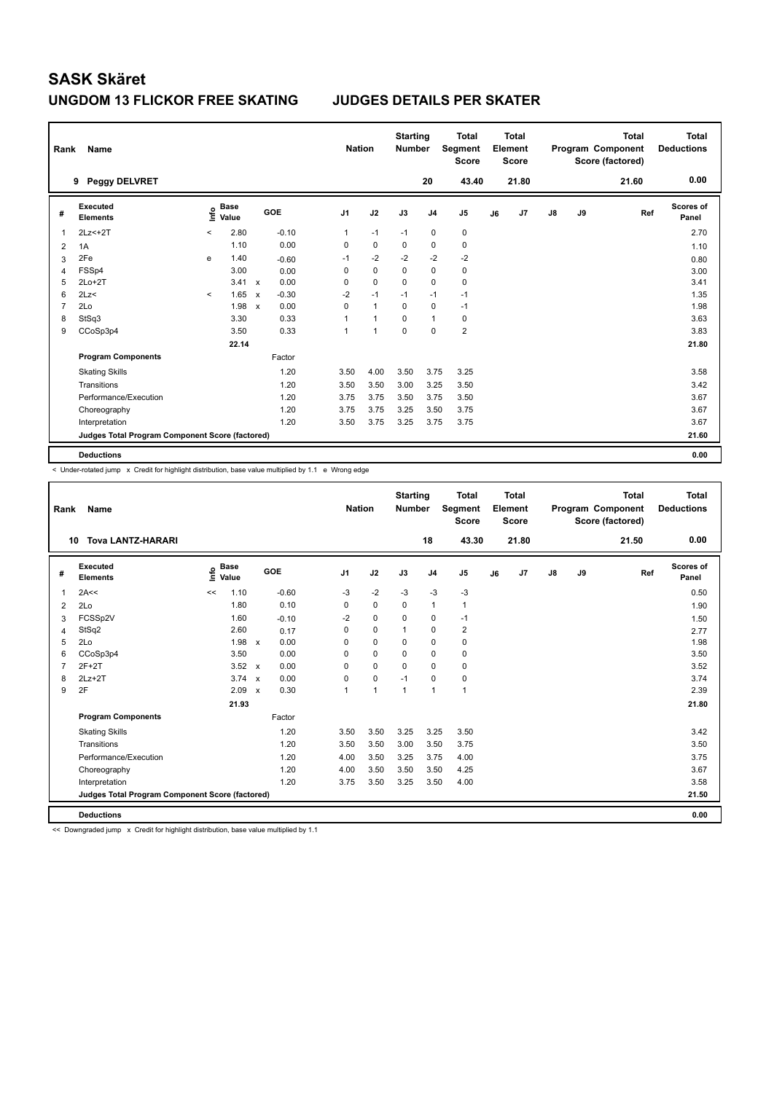## **UNGDOM 13 FLICKOR FREE SKATING JUDGES DETAILS PER SKATER**

| Rank           | Name                                            |         |                      |                           |         |                | <b>Nation</b> |              | <b>Starting</b><br><b>Number</b> |                | <b>Total</b><br>Segment<br><b>Score</b> |    | Total<br>Element<br><b>Score</b> |               |    | <b>Total</b><br>Program Component<br>Score (factored) | <b>Total</b><br><b>Deductions</b> |
|----------------|-------------------------------------------------|---------|----------------------|---------------------------|---------|----------------|---------------|--------------|----------------------------------|----------------|-----------------------------------------|----|----------------------------------|---------------|----|-------------------------------------------------------|-----------------------------------|
|                | <b>Peggy DELVRET</b><br>9                       |         |                      |                           |         |                |               |              |                                  | 20             | 43.40                                   |    | 21.80                            |               |    | 21.60                                                 | 0.00                              |
| #              | Executed<br><b>Elements</b>                     | ۴       | <b>Base</b><br>Value |                           | GOE     | J <sub>1</sub> |               | J2           | J3                               | J <sub>4</sub> | J <sub>5</sub>                          | J6 | J7                               | $\mathsf{J}8$ | J9 | Ref                                                   | <b>Scores of</b><br>Panel         |
| 1              | $2Lz<+2T$                                       | $\prec$ | 2.80                 |                           | $-0.10$ |                | $\mathbf{1}$  | $-1$         | $-1$                             | 0              | 0                                       |    |                                  |               |    |                                                       | 2.70                              |
| 2              | 1A                                              |         | 1.10                 |                           | 0.00    |                | 0             | 0            | 0                                | 0              | 0                                       |    |                                  |               |    |                                                       | 1.10                              |
| 3              | 2Fe                                             | e       | 1.40                 |                           | $-0.60$ |                | $-1$          | $-2$         | $-2$                             | $-2$           | $-2$                                    |    |                                  |               |    |                                                       | 0.80                              |
| $\overline{4}$ | FSSp4                                           |         | 3.00                 |                           | 0.00    |                | 0             | $\mathbf 0$  | $\mathbf 0$                      | $\mathbf 0$    | $\mathbf 0$                             |    |                                  |               |    |                                                       | 3.00                              |
| 5              | $2Lo+2T$                                        |         | 3.41                 | $\boldsymbol{\mathsf{x}}$ | 0.00    |                | 0             | $\mathbf 0$  | $\mathbf 0$                      | $\mathbf 0$    | $\mathbf 0$                             |    |                                  |               |    |                                                       | 3.41                              |
| 6              | 2Lz<                                            | $\prec$ | 1.65                 | $\mathsf{x}$              | $-0.30$ |                | $-2$          | $-1$         | $-1$                             | $-1$           | $-1$                                    |    |                                  |               |    |                                                       | 1.35                              |
| $\overline{7}$ | 2Lo                                             |         | 1.98                 | $\boldsymbol{\mathsf{x}}$ | 0.00    |                | 0             | $\mathbf{1}$ | $\mathbf 0$                      | $\mathbf 0$    | $-1$                                    |    |                                  |               |    |                                                       | 1.98                              |
| 8              | StSq3                                           |         | 3.30                 |                           | 0.33    |                | 1             | $\mathbf{1}$ | $\Omega$                         | $\mathbf{1}$   | 0                                       |    |                                  |               |    |                                                       | 3.63                              |
| 9              | CCoSp3p4                                        |         | 3.50                 |                           | 0.33    |                | 1             | 1            | $\Omega$                         | $\Omega$       | $\overline{2}$                          |    |                                  |               |    |                                                       | 3.83                              |
|                |                                                 |         | 22.14                |                           |         |                |               |              |                                  |                |                                         |    |                                  |               |    |                                                       | 21.80                             |
|                | <b>Program Components</b>                       |         |                      |                           | Factor  |                |               |              |                                  |                |                                         |    |                                  |               |    |                                                       |                                   |
|                | <b>Skating Skills</b>                           |         |                      |                           | 1.20    |                | 3.50          | 4.00         | 3.50                             | 3.75           | 3.25                                    |    |                                  |               |    |                                                       | 3.58                              |
|                | Transitions                                     |         |                      |                           | 1.20    |                | 3.50          | 3.50         | 3.00                             | 3.25           | 3.50                                    |    |                                  |               |    |                                                       | 3.42                              |
|                | Performance/Execution                           |         |                      |                           | 1.20    |                | 3.75          | 3.75         | 3.50                             | 3.75           | 3.50                                    |    |                                  |               |    |                                                       | 3.67                              |
|                | Choreography                                    |         |                      |                           | 1.20    |                | 3.75          | 3.75         | 3.25                             | 3.50           | 3.75                                    |    |                                  |               |    |                                                       | 3.67                              |
|                | Interpretation                                  |         |                      |                           | 1.20    |                | 3.50          | 3.75         | 3.25                             | 3.75           | 3.75                                    |    |                                  |               |    |                                                       | 3.67                              |
|                | Judges Total Program Component Score (factored) |         |                      |                           |         |                |               |              |                                  |                |                                         |    |                                  |               |    |                                                       | 21.60                             |
|                | <b>Deductions</b>                               |         |                      |                           |         |                |               |              |                                  |                |                                         |    |                                  |               |    |                                                       | 0.00                              |

< Under-rotated jump x Credit for highlight distribution, base value multiplied by 1.1 e Wrong edge

| Rank           | Name                                            |                              |                           |         | <b>Nation</b>  |                | <b>Starting</b><br><b>Number</b> |                | <b>Total</b><br><b>Segment</b><br><b>Score</b> |    | Total<br>Element<br><b>Score</b> |               |    | <b>Total</b><br>Program Component<br>Score (factored) | <b>Total</b><br><b>Deductions</b> |
|----------------|-------------------------------------------------|------------------------------|---------------------------|---------|----------------|----------------|----------------------------------|----------------|------------------------------------------------|----|----------------------------------|---------------|----|-------------------------------------------------------|-----------------------------------|
| 10             | <b>Tova LANTZ-HARARI</b>                        |                              |                           |         |                |                |                                  | 18             | 43.30                                          |    | 21.80                            |               |    | 21.50                                                 | 0.00                              |
| #              | <b>Executed</b><br><b>Elements</b>              | <b>Base</b><br>١nf٥<br>Value | GOE                       |         | J <sub>1</sub> | J2             | J3                               | J <sub>4</sub> | J <sub>5</sub>                                 | J6 | J7                               | $\mathsf{J}8$ | J9 | Ref                                                   | <b>Scores of</b><br>Panel         |
| $\mathbf{1}$   | 2A<<                                            | 1.10<br><<                   |                           | $-0.60$ | $-3$           | $-2$           | $-3$                             | $-3$           | $-3$                                           |    |                                  |               |    |                                                       | 0.50                              |
| 2              | 2Lo                                             | 1.80                         |                           | 0.10    | 0              | $\mathbf 0$    | 0                                | $\mathbf{1}$   | 1                                              |    |                                  |               |    |                                                       | 1.90                              |
| 3              | FCSSp2V                                         | 1.60                         |                           | $-0.10$ | $-2$           | $\mathbf 0$    | 0                                | $\pmb{0}$      | $-1$                                           |    |                                  |               |    |                                                       | 1.50                              |
| 4              | StSq2                                           | 2.60                         |                           | 0.17    | $\mathbf 0$    | $\mathbf 0$    | $\mathbf{1}$                     | $\mathbf 0$    | 2                                              |    |                                  |               |    |                                                       | 2.77                              |
| 5              | 2Lo                                             | 1.98                         | $\mathsf{x}$              | 0.00    | 0              | $\mathbf 0$    | 0                                | $\mathbf 0$    | $\mathbf 0$                                    |    |                                  |               |    |                                                       | 1.98                              |
| 6              | CCoSp3p4                                        | 3.50                         |                           | 0.00    | $\Omega$       | $\mathbf 0$    | $\Omega$                         | $\mathbf 0$    | $\mathbf 0$                                    |    |                                  |               |    |                                                       | 3.50                              |
| $\overline{7}$ | $2F+2T$                                         | 3.52                         | $\mathsf{x}$              | 0.00    | $\Omega$       | $\Omega$       | $\Omega$                         | $\Omega$       | $\mathbf 0$                                    |    |                                  |               |    |                                                       | 3.52                              |
| 8              | $2Lz+2T$                                        | 3.74                         | $\boldsymbol{\mathsf{x}}$ | 0.00    | 0              | $\mathbf 0$    | $-1$                             | $\mathbf 0$    | 0                                              |    |                                  |               |    |                                                       | 3.74                              |
| 9              | 2F                                              | 2.09                         | $\boldsymbol{\mathsf{x}}$ | 0.30    | 1              | $\overline{1}$ | $\mathbf{1}$                     | $\mathbf{1}$   | 1                                              |    |                                  |               |    |                                                       | 2.39                              |
|                |                                                 | 21.93                        |                           |         |                |                |                                  |                |                                                |    |                                  |               |    |                                                       | 21.80                             |
|                | <b>Program Components</b>                       |                              |                           | Factor  |                |                |                                  |                |                                                |    |                                  |               |    |                                                       |                                   |
|                | <b>Skating Skills</b>                           |                              |                           | 1.20    | 3.50           | 3.50           | 3.25                             | 3.25           | 3.50                                           |    |                                  |               |    |                                                       | 3.42                              |
|                | Transitions                                     |                              |                           | 1.20    | 3.50           | 3.50           | 3.00                             | 3.50           | 3.75                                           |    |                                  |               |    |                                                       | 3.50                              |
|                | Performance/Execution                           |                              |                           | 1.20    | 4.00           | 3.50           | 3.25                             | 3.75           | 4.00                                           |    |                                  |               |    |                                                       | 3.75                              |
|                | Choreography                                    |                              |                           | 1.20    | 4.00           | 3.50           | 3.50                             | 3.50           | 4.25                                           |    |                                  |               |    |                                                       | 3.67                              |
|                | Interpretation                                  |                              |                           | 1.20    | 3.75           | 3.50           | 3.25                             | 3.50           | 4.00                                           |    |                                  |               |    |                                                       | 3.58                              |
|                | Judges Total Program Component Score (factored) |                              |                           |         |                |                |                                  |                |                                                |    |                                  |               |    |                                                       | 21.50                             |
|                | <b>Deductions</b>                               |                              |                           |         |                |                |                                  |                |                                                |    |                                  |               |    |                                                       | 0.00                              |

<< Downgraded jump x Credit for highlight distribution, base value multiplied by 1.1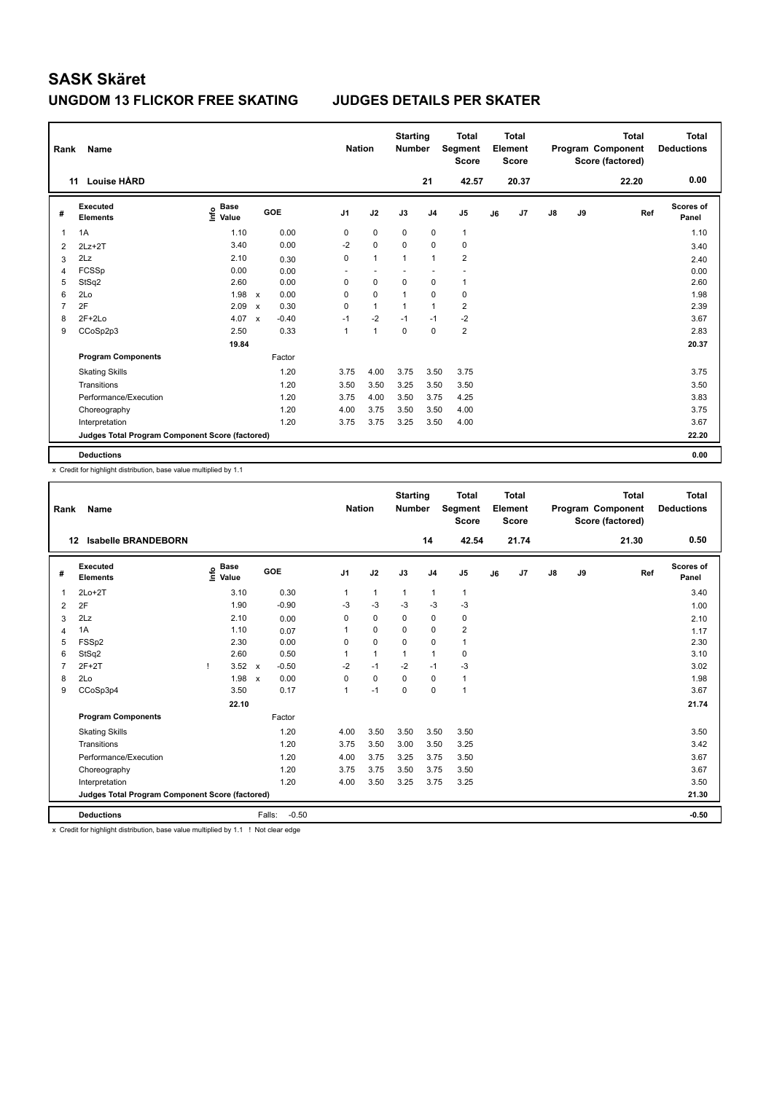| Rank           | Name                                            |                           |                           |         | <b>Nation</b>  |                          | <b>Starting</b><br><b>Number</b> |                | <b>Total</b><br>Segment<br><b>Score</b> |    | <b>Total</b><br>Element<br><b>Score</b> |    |    | <b>Total</b><br>Program Component<br>Score (factored) | Total<br><b>Deductions</b> |
|----------------|-------------------------------------------------|---------------------------|---------------------------|---------|----------------|--------------------------|----------------------------------|----------------|-----------------------------------------|----|-----------------------------------------|----|----|-------------------------------------------------------|----------------------------|
|                | Louise HÅRD<br>11                               |                           |                           |         |                |                          |                                  | 21             | 42.57                                   |    | 20.37                                   |    |    | 22.20                                                 | 0.00                       |
| #              | Executed<br><b>Elements</b>                     | Base<br>e Base<br>⊆ Value |                           | GOE     | J <sub>1</sub> | J2                       | J3                               | J <sub>4</sub> | J5                                      | J6 | J7                                      | J8 | J9 | Ref                                                   | Scores of<br>Panel         |
| 1              | 1A                                              | 1.10                      |                           | 0.00    | 0              | $\mathbf 0$              | $\mathbf 0$                      | 0              | $\mathbf{1}$                            |    |                                         |    |    |                                                       | 1.10                       |
| $\overline{2}$ | $2Lz+2T$                                        | 3.40                      |                           | 0.00    | $-2$           | $\mathbf 0$              | $\mathbf 0$                      | $\mathbf 0$    | $\pmb{0}$                               |    |                                         |    |    |                                                       | 3.40                       |
| 3              | 2Lz                                             | 2.10                      |                           | 0.30    | 0              | $\mathbf{1}$             | $\overline{1}$                   | $\overline{1}$ | $\overline{2}$                          |    |                                         |    |    |                                                       | 2.40                       |
| 4              | FCSSp                                           | 0.00                      |                           | 0.00    |                | $\overline{\phantom{a}}$ |                                  |                |                                         |    |                                         |    |    |                                                       | 0.00                       |
| 5              | StSq2                                           | 2.60                      |                           | 0.00    | 0              | $\pmb{0}$                | 0                                | 0              | $\mathbf{1}$                            |    |                                         |    |    |                                                       | 2.60                       |
| 6              | 2Lo                                             | 1.98                      | $\mathsf{x}$              | 0.00    | 0              | $\mathbf 0$              | 1                                | $\mathbf 0$    | 0                                       |    |                                         |    |    |                                                       | 1.98                       |
| 7              | 2F                                              | 2.09                      | $\boldsymbol{\mathsf{x}}$ | 0.30    | 0              | $\mathbf{1}$             | 1                                | $\overline{1}$ | $\overline{2}$                          |    |                                         |    |    |                                                       | 2.39                       |
| 8              | $2F+2Lo$                                        | 4.07                      | $\mathsf{x}$              | $-0.40$ | $-1$           | $-2$                     | $-1$                             | $-1$           | $-2$                                    |    |                                         |    |    |                                                       | 3.67                       |
| 9              | CCoSp2p3                                        | 2.50                      |                           | 0.33    | 1              | $\overline{1}$           | $\mathbf 0$                      | $\mathbf 0$    | $\overline{2}$                          |    |                                         |    |    |                                                       | 2.83                       |
|                |                                                 | 19.84                     |                           |         |                |                          |                                  |                |                                         |    |                                         |    |    |                                                       | 20.37                      |
|                | <b>Program Components</b>                       |                           |                           | Factor  |                |                          |                                  |                |                                         |    |                                         |    |    |                                                       |                            |
|                | <b>Skating Skills</b>                           |                           |                           | 1.20    | 3.75           | 4.00                     | 3.75                             | 3.50           | 3.75                                    |    |                                         |    |    |                                                       | 3.75                       |
|                | Transitions                                     |                           |                           | 1.20    | 3.50           | 3.50                     | 3.25                             | 3.50           | 3.50                                    |    |                                         |    |    |                                                       | 3.50                       |
|                | Performance/Execution                           |                           |                           | 1.20    | 3.75           | 4.00                     | 3.50                             | 3.75           | 4.25                                    |    |                                         |    |    |                                                       | 3.83                       |
|                | Choreography                                    |                           |                           | 1.20    | 4.00           | 3.75                     | 3.50                             | 3.50           | 4.00                                    |    |                                         |    |    |                                                       | 3.75                       |
|                | Interpretation                                  |                           |                           | 1.20    | 3.75           | 3.75                     | 3.25                             | 3.50           | 4.00                                    |    |                                         |    |    |                                                       | 3.67                       |
|                | Judges Total Program Component Score (factored) |                           |                           |         |                |                          |                                  |                |                                         |    |                                         |    |    |                                                       | 22.20                      |
|                | <b>Deductions</b>                               |                           |                           |         |                |                          |                                  |                |                                         |    |                                         |    |    |                                                       | 0.00                       |

x Credit for highlight distribution, base value multiplied by 1.1

| Rank           | Name                                            |    |                                  |                           |         | <b>Nation</b>  |              | <b>Starting</b><br><b>Number</b> |                | <b>Total</b><br>Segment<br><b>Score</b> |    | Total<br>Element<br><b>Score</b> |               |    | <b>Total</b><br>Program Component<br>Score (factored) | Total<br><b>Deductions</b> |
|----------------|-------------------------------------------------|----|----------------------------------|---------------------------|---------|----------------|--------------|----------------------------------|----------------|-----------------------------------------|----|----------------------------------|---------------|----|-------------------------------------------------------|----------------------------|
|                | <b>Isabelle BRANDEBORN</b><br>12                |    |                                  |                           |         |                |              |                                  | 14             | 42.54                                   |    | 21.74                            |               |    | 21.30                                                 | 0.50                       |
| #              | Executed<br><b>Elements</b>                     |    | <b>Base</b><br>e Base<br>⊆ Value |                           | GOE     | J <sub>1</sub> | J2           | J3                               | J <sub>4</sub> | J <sub>5</sub>                          | J6 | J7                               | $\mathsf{J}8$ | J9 | Ref                                                   | <b>Scores of</b><br>Panel  |
| 1              | $2Lo+2T$                                        |    | 3.10                             |                           | 0.30    | 1              | $\mathbf{1}$ | $\mathbf{1}$                     | 1              | $\mathbf{1}$                            |    |                                  |               |    |                                                       | 3.40                       |
| $\overline{2}$ | 2F                                              |    | 1.90                             |                           | $-0.90$ | $-3$           | $-3$         | $-3$                             | $-3$           | $-3$                                    |    |                                  |               |    |                                                       | 1.00                       |
| 3              | 2Lz                                             |    | 2.10                             |                           | 0.00    | 0              | $\mathbf 0$  | 0                                | $\mathbf 0$    | 0                                       |    |                                  |               |    |                                                       | 2.10                       |
| 4              | 1A                                              |    | 1.10                             |                           | 0.07    | $\mathbf{1}$   | $\mathbf 0$  | $\Omega$                         | $\mathbf 0$    | $\overline{2}$                          |    |                                  |               |    |                                                       | 1.17                       |
| 5              | FSSp2                                           |    | 2.30                             |                           | 0.00    | 0              | $\mathbf 0$  | $\mathbf 0$                      | $\mathbf 0$    | $\mathbf{1}$                            |    |                                  |               |    |                                                       | 2.30                       |
| 6              | StSq2                                           |    | 2.60                             |                           | 0.50    | 1              | $\mathbf{1}$ | $\mathbf{1}$                     | $\mathbf{1}$   | 0                                       |    |                                  |               |    |                                                       | 3.10                       |
| $\overline{7}$ | $2F+2T$                                         | -1 | 3.52                             | $\mathsf{x}$              | $-0.50$ | $-2$           | $-1$         | $-2$                             | $-1$           | $-3$                                    |    |                                  |               |    |                                                       | 3.02                       |
| 8              | 2Lo                                             |    | 1.98                             | $\boldsymbol{\mathsf{x}}$ | 0.00    | $\Omega$       | $\Omega$     | $\Omega$                         | $\mathbf 0$    | $\mathbf{1}$                            |    |                                  |               |    |                                                       | 1.98                       |
| 9              | CCoSp3p4                                        |    | 3.50                             |                           | 0.17    | 1              | $-1$         | $\mathbf 0$                      | $\mathbf 0$    | 1                                       |    |                                  |               |    |                                                       | 3.67                       |
|                |                                                 |    | 22.10                            |                           |         |                |              |                                  |                |                                         |    |                                  |               |    |                                                       | 21.74                      |
|                | <b>Program Components</b>                       |    |                                  |                           | Factor  |                |              |                                  |                |                                         |    |                                  |               |    |                                                       |                            |
|                | <b>Skating Skills</b>                           |    |                                  |                           | 1.20    | 4.00           | 3.50         | 3.50                             | 3.50           | 3.50                                    |    |                                  |               |    |                                                       | 3.50                       |
|                | Transitions                                     |    |                                  |                           | 1.20    | 3.75           | 3.50         | 3.00                             | 3.50           | 3.25                                    |    |                                  |               |    |                                                       | 3.42                       |
|                | Performance/Execution                           |    |                                  |                           | 1.20    | 4.00           | 3.75         | 3.25                             | 3.75           | 3.50                                    |    |                                  |               |    |                                                       | 3.67                       |
|                | Choreography                                    |    |                                  |                           | 1.20    | 3.75           | 3.75         | 3.50                             | 3.75           | 3.50                                    |    |                                  |               |    |                                                       | 3.67                       |
|                | Interpretation                                  |    |                                  |                           | 1.20    | 4.00           | 3.50         | 3.25                             | 3.75           | 3.25                                    |    |                                  |               |    |                                                       | 3.50                       |
|                | Judges Total Program Component Score (factored) |    |                                  |                           |         |                |              |                                  |                |                                         |    |                                  |               |    |                                                       | 21.30                      |
|                | <b>Deductions</b>                               |    |                                  | Falls:                    | $-0.50$ |                |              |                                  |                |                                         |    |                                  |               |    |                                                       | $-0.50$                    |

x Credit for highlight distribution, base value multiplied by 1.1 ! Not clear edge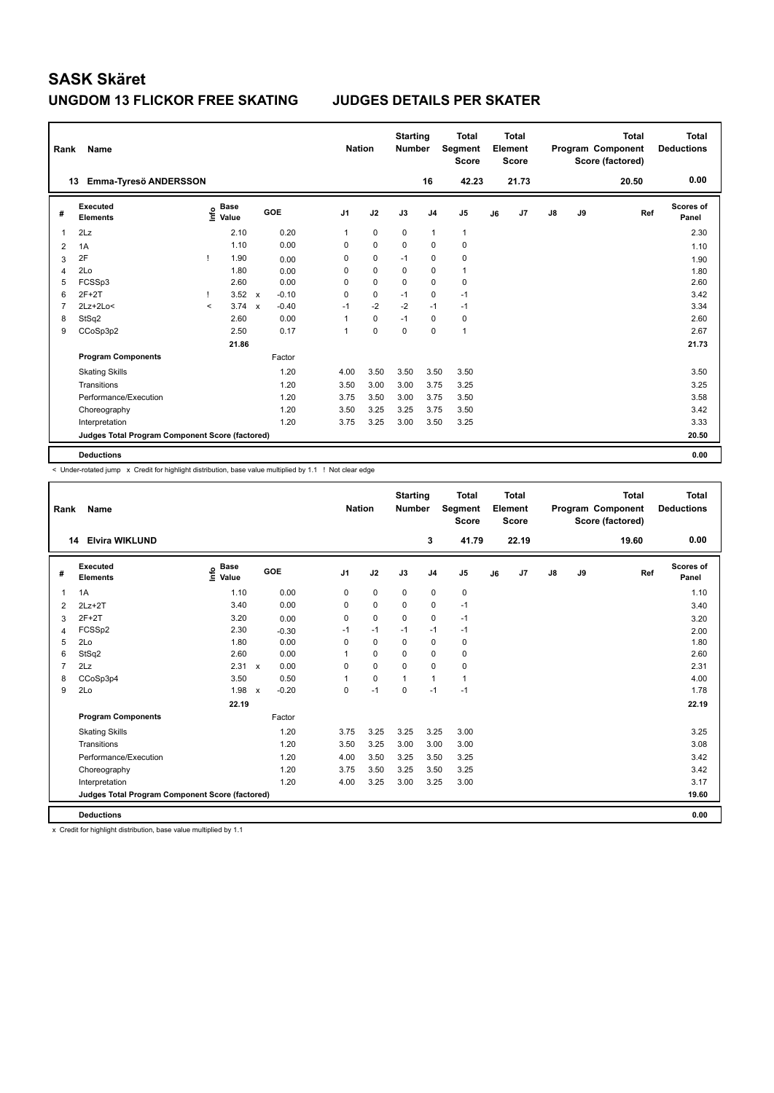## **UNGDOM 13 FLICKOR FREE SKATING JUDGES DETAILS PER SKATER**

| Rank           | Name                                            |         |                      |                           |         |                | <b>Nation</b> | <b>Starting</b><br><b>Number</b> |                | <b>Total</b><br>Segment<br><b>Score</b> |    | <b>Total</b><br>Element<br>Score |               |    | <b>Total</b><br>Program Component<br>Score (factored) | <b>Total</b><br><b>Deductions</b> |
|----------------|-------------------------------------------------|---------|----------------------|---------------------------|---------|----------------|---------------|----------------------------------|----------------|-----------------------------------------|----|----------------------------------|---------------|----|-------------------------------------------------------|-----------------------------------|
|                | Emma-Tyresö ANDERSSON<br>13                     |         |                      |                           |         |                |               |                                  | 16             | 42.23                                   |    | 21.73                            |               |    | 20.50                                                 | 0.00                              |
| #              | Executed<br><b>Elements</b>                     | lnfo    | <b>Base</b><br>Value |                           | GOE     | J <sub>1</sub> | J2            | J3                               | J <sub>4</sub> | J5                                      | J6 | J7                               | $\mathsf{J}8$ | J9 | Ref                                                   | <b>Scores of</b><br>Panel         |
| $\overline{1}$ | 2Lz                                             |         | 2.10                 |                           | 0.20    | 1              | $\mathbf 0$   | 0                                | $\mathbf{1}$   | $\mathbf{1}$                            |    |                                  |               |    |                                                       | 2.30                              |
| 2              | 1A                                              |         | 1.10                 |                           | 0.00    | 0              | $\mathbf 0$   | $\mathbf 0$                      | $\mathbf 0$    | $\pmb{0}$                               |    |                                  |               |    |                                                       | 1.10                              |
| 3              | 2F                                              |         | 1.90                 |                           | 0.00    | 0              | 0             | $-1$                             | 0              | 0                                       |    |                                  |               |    |                                                       | 1.90                              |
| $\overline{4}$ | 2Lo                                             |         | 1.80                 |                           | 0.00    | 0              | $\mathbf 0$   | 0                                | $\mathbf 0$    | $\mathbf{1}$                            |    |                                  |               |    |                                                       | 1.80                              |
| 5              | FCSSp3                                          |         | 2.60                 |                           | 0.00    | 0              | $\mathbf 0$   | 0                                | $\mathbf 0$    | $\pmb{0}$                               |    |                                  |               |    |                                                       | 2.60                              |
| 6              | $2F+2T$                                         |         | 3.52                 | $\mathsf{x}$              | $-0.10$ | 0              | $\mathbf 0$   | $-1$                             | $\mathbf 0$    | $-1$                                    |    |                                  |               |    |                                                       | 3.42                              |
| $\overline{7}$ | $2Lz+2Lo<$                                      | $\prec$ | 3.74                 | $\boldsymbol{\mathsf{x}}$ | $-0.40$ | $-1$           | $-2$          | $-2$                             | $-1$           | $-1$                                    |    |                                  |               |    |                                                       | 3.34                              |
| 8              | StSq2                                           |         | 2.60                 |                           | 0.00    | 1              | 0             | $-1$                             | 0              | 0                                       |    |                                  |               |    |                                                       | 2.60                              |
| 9              | CCoSp3p2                                        |         | 2.50                 |                           | 0.17    | 1              | $\mathbf 0$   | $\mathbf 0$                      | $\mathbf 0$    | $\mathbf{1}$                            |    |                                  |               |    |                                                       | 2.67                              |
|                |                                                 |         | 21.86                |                           |         |                |               |                                  |                |                                         |    |                                  |               |    |                                                       | 21.73                             |
|                | <b>Program Components</b>                       |         |                      |                           | Factor  |                |               |                                  |                |                                         |    |                                  |               |    |                                                       |                                   |
|                | <b>Skating Skills</b>                           |         |                      |                           | 1.20    | 4.00           | 3.50          | 3.50                             | 3.50           | 3.50                                    |    |                                  |               |    |                                                       | 3.50                              |
|                | Transitions                                     |         |                      |                           | 1.20    | 3.50           | 3.00          | 3.00                             | 3.75           | 3.25                                    |    |                                  |               |    |                                                       | 3.25                              |
|                | Performance/Execution                           |         |                      |                           | 1.20    | 3.75           | 3.50          | 3.00                             | 3.75           | 3.50                                    |    |                                  |               |    |                                                       | 3.58                              |
|                | Choreography                                    |         |                      |                           | 1.20    | 3.50           | 3.25          | 3.25                             | 3.75           | 3.50                                    |    |                                  |               |    |                                                       | 3.42                              |
|                | Interpretation                                  |         |                      |                           | 1.20    | 3.75           | 3.25          | 3.00                             | 3.50           | 3.25                                    |    |                                  |               |    |                                                       | 3.33                              |
|                | Judges Total Program Component Score (factored) |         |                      |                           |         |                |               |                                  |                |                                         |    |                                  |               |    |                                                       | 20.50                             |
|                | <b>Deductions</b>                               |         |                      |                           |         |                |               |                                  |                |                                         |    |                                  |               |    |                                                       | 0.00                              |

< Under-rotated jump x Credit for highlight distribution, base value multiplied by 1.1 ! Not clear edge

| Rank           | <b>Name</b>                                     |                                  |                           |         | <b>Nation</b>  |             | <b>Starting</b><br><b>Number</b> |                | <b>Total</b><br>Segment<br><b>Score</b> |    | Total<br>Element<br><b>Score</b> |            |    | <b>Total</b><br>Program Component<br>Score (factored) | <b>Total</b><br><b>Deductions</b> |
|----------------|-------------------------------------------------|----------------------------------|---------------------------|---------|----------------|-------------|----------------------------------|----------------|-----------------------------------------|----|----------------------------------|------------|----|-------------------------------------------------------|-----------------------------------|
|                | <b>Elvira WIKLUND</b><br>14                     |                                  |                           |         |                |             |                                  | 3              | 41.79                                   |    | 22.19                            |            |    | 19.60                                                 | 0.00                              |
| #              | Executed<br><b>Elements</b>                     | <b>Base</b><br>e Base<br>⊆ Value | GOE                       |         | J <sub>1</sub> | J2          | J3                               | J <sub>4</sub> | J <sub>5</sub>                          | J6 | J7                               | ${\sf J8}$ | J9 | Ref                                                   | <b>Scores of</b><br>Panel         |
| $\overline{1}$ | 1A                                              | 1.10                             |                           | 0.00    | 0              | $\pmb{0}$   | $\mathbf 0$                      | 0              | $\pmb{0}$                               |    |                                  |            |    |                                                       | 1.10                              |
| 2              | $2Lz+2T$                                        | 3.40                             |                           | 0.00    | 0              | $\mathbf 0$ | 0                                | 0              | $-1$                                    |    |                                  |            |    |                                                       | 3.40                              |
| 3              | $2F+2T$                                         | 3.20                             |                           | 0.00    | 0              | $\mathbf 0$ | $\mathbf 0$                      | $\mathbf 0$    | $-1$                                    |    |                                  |            |    |                                                       | 3.20                              |
| 4              | FCSSp2                                          | 2.30                             |                           | $-0.30$ | $-1$           | $-1$        | $-1$                             | $-1$           | $-1$                                    |    |                                  |            |    |                                                       | 2.00                              |
| 5              | 2Lo                                             | 1.80                             |                           | 0.00    | $\mathbf 0$    | $\mathbf 0$ | $\mathbf 0$                      | $\mathbf 0$    | 0                                       |    |                                  |            |    |                                                       | 1.80                              |
| 6              | StSq2                                           | 2.60                             |                           | 0.00    |                | $\mathbf 0$ | $\Omega$                         | $\mathbf 0$    | 0                                       |    |                                  |            |    |                                                       | 2.60                              |
| $\overline{7}$ | 2Lz                                             | 2.31                             | $\boldsymbol{\mathsf{x}}$ | 0.00    | 0              | $\mathbf 0$ | $\Omega$                         | $\mathbf 0$    | 0                                       |    |                                  |            |    |                                                       | 2.31                              |
| 8              | CCoSp3p4                                        | 3.50                             |                           | 0.50    |                | $\mathbf 0$ | $\mathbf{1}$                     | $\mathbf{1}$   | $\mathbf{1}$                            |    |                                  |            |    |                                                       | 4.00                              |
| 9              | 2Lo                                             | 1.98                             | $\boldsymbol{\mathsf{x}}$ | $-0.20$ | 0              | $-1$        | $\Omega$                         | $-1$           | $-1$                                    |    |                                  |            |    |                                                       | 1.78                              |
|                |                                                 | 22.19                            |                           |         |                |             |                                  |                |                                         |    |                                  |            |    |                                                       | 22.19                             |
|                | <b>Program Components</b>                       |                                  |                           | Factor  |                |             |                                  |                |                                         |    |                                  |            |    |                                                       |                                   |
|                | <b>Skating Skills</b>                           |                                  |                           | 1.20    | 3.75           | 3.25        | 3.25                             | 3.25           | 3.00                                    |    |                                  |            |    |                                                       | 3.25                              |
|                | Transitions                                     |                                  |                           | 1.20    | 3.50           | 3.25        | 3.00                             | 3.00           | 3.00                                    |    |                                  |            |    |                                                       | 3.08                              |
|                | Performance/Execution                           |                                  |                           | 1.20    | 4.00           | 3.50        | 3.25                             | 3.50           | 3.25                                    |    |                                  |            |    |                                                       | 3.42                              |
|                | Choreography                                    |                                  |                           | 1.20    | 3.75           | 3.50        | 3.25                             | 3.50           | 3.25                                    |    |                                  |            |    |                                                       | 3.42                              |
|                | Interpretation                                  |                                  |                           | 1.20    | 4.00           | 3.25        | 3.00                             | 3.25           | 3.00                                    |    |                                  |            |    |                                                       | 3.17                              |
|                | Judges Total Program Component Score (factored) |                                  |                           |         |                |             |                                  |                |                                         |    |                                  |            |    |                                                       | 19.60                             |
|                | <b>Deductions</b>                               |                                  |                           |         |                |             |                                  |                |                                         |    |                                  |            |    |                                                       | 0.00                              |

x Credit for highlight distribution, base value multiplied by 1.1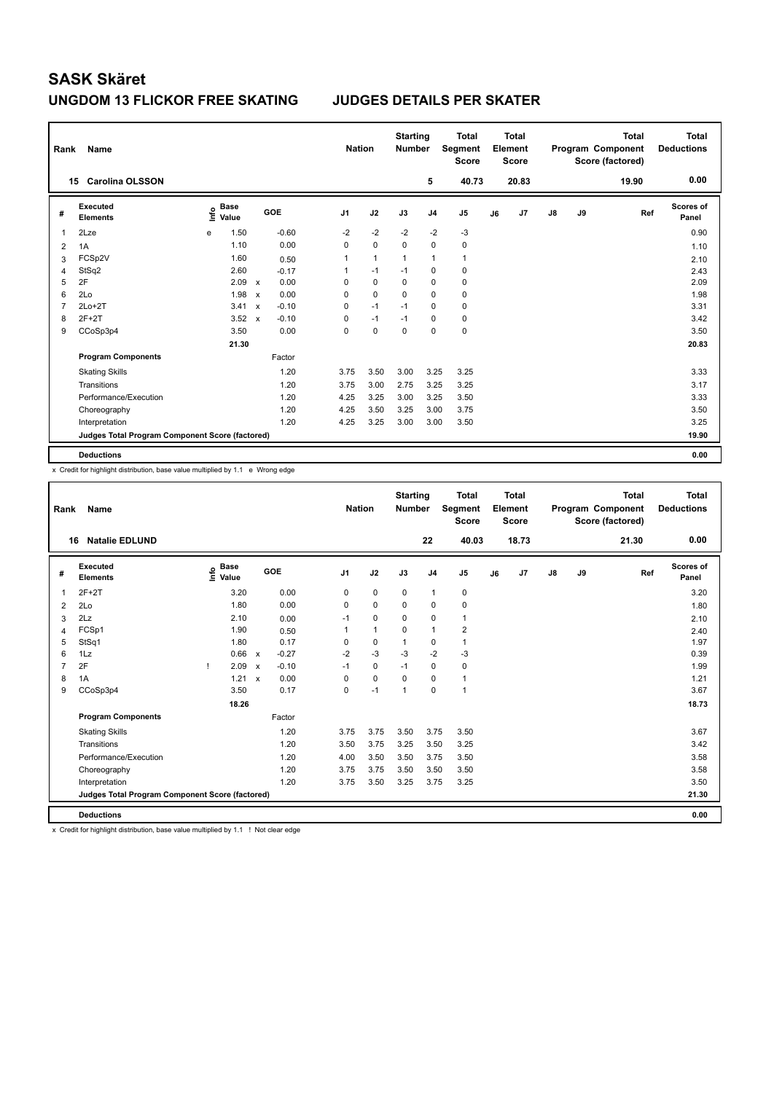## **UNGDOM 13 FLICKOR FREE SKATING JUDGES DETAILS PER SKATER**

| Rank           | Name                                            |      |                      |              |         | <b>Nation</b> |              | <b>Starting</b><br><b>Number</b> |                | <b>Total</b><br>Segment<br><b>Score</b> |    | <b>Total</b><br>Element<br><b>Score</b> |               |    | <b>Total</b><br>Program Component<br>Score (factored) | <b>Total</b><br><b>Deductions</b> |
|----------------|-------------------------------------------------|------|----------------------|--------------|---------|---------------|--------------|----------------------------------|----------------|-----------------------------------------|----|-----------------------------------------|---------------|----|-------------------------------------------------------|-----------------------------------|
|                | <b>Carolina OLSSON</b><br>15                    |      |                      |              |         |               |              |                                  | 5              | 40.73                                   |    | 20.83                                   |               |    | 19.90                                                 | 0.00                              |
| #              | Executed<br><b>Elements</b>                     | ١nf٥ | <b>Base</b><br>Value |              | GOE     | J1            | J2           | J3                               | J <sub>4</sub> | J <sub>5</sub>                          | J6 | J7                                      | $\mathsf{J}8$ | J9 | Ref                                                   | <b>Scores of</b><br>Panel         |
| 1              | 2Lze                                            | e    | 1.50                 |              | $-0.60$ | $-2$          | $-2$         | $-2$                             | $-2$           | $-3$                                    |    |                                         |               |    |                                                       | 0.90                              |
| 2              | 1A                                              |      | 1.10                 |              | 0.00    | 0             | $\mathbf 0$  | $\Omega$                         | $\Omega$       | $\pmb{0}$                               |    |                                         |               |    |                                                       | 1.10                              |
| 3              | FCSp2V                                          |      | 1.60                 |              | 0.50    | 1             | $\mathbf{1}$ | $\mathbf{1}$                     | $\mathbf{1}$   | $\mathbf{1}$                            |    |                                         |               |    |                                                       | 2.10                              |
| 4              | StSq2                                           |      | 2.60                 |              | $-0.17$ | 1             | $-1$         | $-1$                             | 0              | 0                                       |    |                                         |               |    |                                                       | 2.43                              |
| 5              | 2F                                              |      | 2.09                 | $\mathsf{x}$ | 0.00    | 0             | 0            | $\Omega$                         | 0              | 0                                       |    |                                         |               |    |                                                       | 2.09                              |
| 6              | 2Lo                                             |      | 1.98                 | $\mathsf{x}$ | 0.00    | 0             | $\mathbf 0$  | $\Omega$                         | $\mathbf 0$    | $\mathbf 0$                             |    |                                         |               |    |                                                       | 1.98                              |
| $\overline{7}$ | $2Lo+2T$                                        |      | 3.41                 | $\mathsf{x}$ | $-0.10$ | 0             | $-1$         | $-1$                             | $\mathbf 0$    | 0                                       |    |                                         |               |    |                                                       | 3.31                              |
| 8              | $2F+2T$                                         |      | 3.52                 | $\mathsf{x}$ | $-0.10$ | 0             | $-1$         | $-1$                             | 0              | $\pmb{0}$                               |    |                                         |               |    |                                                       | 3.42                              |
| 9              | CCoSp3p4                                        |      | 3.50                 |              | 0.00    | 0             | $\mathbf 0$  | $\mathbf 0$                      | 0              | $\mathbf 0$                             |    |                                         |               |    |                                                       | 3.50                              |
|                |                                                 |      | 21.30                |              |         |               |              |                                  |                |                                         |    |                                         |               |    |                                                       | 20.83                             |
|                | <b>Program Components</b>                       |      |                      |              | Factor  |               |              |                                  |                |                                         |    |                                         |               |    |                                                       |                                   |
|                | <b>Skating Skills</b>                           |      |                      |              | 1.20    | 3.75          | 3.50         | 3.00                             | 3.25           | 3.25                                    |    |                                         |               |    |                                                       | 3.33                              |
|                | Transitions                                     |      |                      |              | 1.20    | 3.75          | 3.00         | 2.75                             | 3.25           | 3.25                                    |    |                                         |               |    |                                                       | 3.17                              |
|                | Performance/Execution                           |      |                      |              | 1.20    | 4.25          | 3.25         | 3.00                             | 3.25           | 3.50                                    |    |                                         |               |    |                                                       | 3.33                              |
|                | Choreography                                    |      |                      |              | 1.20    | 4.25          | 3.50         | 3.25                             | 3.00           | 3.75                                    |    |                                         |               |    |                                                       | 3.50                              |
|                | Interpretation                                  |      |                      |              | 1.20    | 4.25          | 3.25         | 3.00                             | 3.00           | 3.50                                    |    |                                         |               |    |                                                       | 3.25                              |
|                | Judges Total Program Component Score (factored) |      |                      |              |         |               |              |                                  |                |                                         |    |                                         |               |    |                                                       | 19.90                             |
|                | <b>Deductions</b>                               |      |                      |              |         |               |              |                                  |                |                                         |    |                                         |               |    |                                                       | 0.00                              |

x Credit for highlight distribution, base value multiplied by 1.1 e Wrong edge

| Rank           | Name                                            |    |                                  |                           |         | <b>Nation</b>  |              | <b>Starting</b><br><b>Number</b> |                | <b>Total</b><br>Segment<br><b>Score</b> |    | <b>Total</b><br>Element<br><b>Score</b> |    |    | <b>Total</b><br>Program Component<br>Score (factored) | <b>Total</b><br><b>Deductions</b> |
|----------------|-------------------------------------------------|----|----------------------------------|---------------------------|---------|----------------|--------------|----------------------------------|----------------|-----------------------------------------|----|-----------------------------------------|----|----|-------------------------------------------------------|-----------------------------------|
|                | <b>Natalie EDLUND</b><br>16                     |    |                                  |                           |         |                |              |                                  | 22             | 40.03                                   |    | 18.73                                   |    |    | 21.30                                                 | 0.00                              |
| #              | Executed<br><b>Elements</b>                     |    | <b>Base</b><br>e Base<br>E Value |                           | GOE     | J <sub>1</sub> | J2           | J3                               | J <sub>4</sub> | J <sub>5</sub>                          | J6 | J7                                      | J8 | J9 | Ref                                                   | <b>Scores of</b><br>Panel         |
| 1              | $2F+2T$                                         |    | 3.20                             |                           | 0.00    | 0              | $\mathbf 0$  | $\mathbf 0$                      | $\mathbf{1}$   | $\mathbf 0$                             |    |                                         |    |    |                                                       | 3.20                              |
| 2              | 2Lo                                             |    | 1.80                             |                           | 0.00    | 0              | $\mathbf 0$  | 0                                | $\mathbf 0$    | 0                                       |    |                                         |    |    |                                                       | 1.80                              |
| 3              | 2Lz                                             |    | 2.10                             |                           | 0.00    | $-1$           | $\mathbf 0$  | $\Omega$                         | 0              | $\mathbf{1}$                            |    |                                         |    |    |                                                       | 2.10                              |
| 4              | FCSp1                                           |    | 1.90                             |                           | 0.50    | 1              | $\mathbf{1}$ | 0                                | $\mathbf{1}$   | $\overline{\mathbf{c}}$                 |    |                                         |    |    |                                                       | 2.40                              |
| 5              | StSq1                                           |    | 1.80                             |                           | 0.17    | 0              | 0            | $\mathbf{1}$                     | 0              | $\mathbf{1}$                            |    |                                         |    |    |                                                       | 1.97                              |
| 6              | 1Lz                                             |    | 0.66                             | $\mathsf{x}$              | $-0.27$ | $-2$           | $-3$         | $-3$                             | $-2$           | $-3$                                    |    |                                         |    |    |                                                       | 0.39                              |
| $\overline{7}$ | 2F                                              | -1 | 2.09                             | $\boldsymbol{\mathsf{x}}$ | $-0.10$ | $-1$           | $\mathbf 0$  | $-1$                             | $\mathbf 0$    | $\mathbf 0$                             |    |                                         |    |    |                                                       | 1.99                              |
| 8              | 1A                                              |    | 1.21                             | $\boldsymbol{\mathsf{x}}$ | 0.00    | 0              | $\mathbf 0$  | $\mathbf 0$                      | $\mathbf 0$    | $\mathbf{1}$                            |    |                                         |    |    |                                                       | 1.21                              |
| 9              | CCoSp3p4                                        |    | 3.50                             |                           | 0.17    | $\Omega$       | $-1$         | 1                                | $\Omega$       | 1                                       |    |                                         |    |    |                                                       | 3.67                              |
|                |                                                 |    | 18.26                            |                           |         |                |              |                                  |                |                                         |    |                                         |    |    |                                                       | 18.73                             |
|                | <b>Program Components</b>                       |    |                                  |                           | Factor  |                |              |                                  |                |                                         |    |                                         |    |    |                                                       |                                   |
|                | <b>Skating Skills</b>                           |    |                                  |                           | 1.20    | 3.75           | 3.75         | 3.50                             | 3.75           | 3.50                                    |    |                                         |    |    |                                                       | 3.67                              |
|                | Transitions                                     |    |                                  |                           | 1.20    | 3.50           | 3.75         | 3.25                             | 3.50           | 3.25                                    |    |                                         |    |    |                                                       | 3.42                              |
|                | Performance/Execution                           |    |                                  |                           | 1.20    | 4.00           | 3.50         | 3.50                             | 3.75           | 3.50                                    |    |                                         |    |    |                                                       | 3.58                              |
|                | Choreography                                    |    |                                  |                           | 1.20    | 3.75           | 3.75         | 3.50                             | 3.50           | 3.50                                    |    |                                         |    |    |                                                       | 3.58                              |
|                | Interpretation                                  |    |                                  |                           | 1.20    | 3.75           | 3.50         | 3.25                             | 3.75           | 3.25                                    |    |                                         |    |    |                                                       | 3.50                              |
|                | Judges Total Program Component Score (factored) |    |                                  |                           |         |                |              |                                  |                |                                         |    |                                         |    |    |                                                       | 21.30                             |
|                | <b>Deductions</b>                               |    |                                  |                           |         |                |              |                                  |                |                                         |    |                                         |    |    |                                                       | 0.00                              |

x Credit for highlight distribution, base value multiplied by 1.1 ! Not clear edge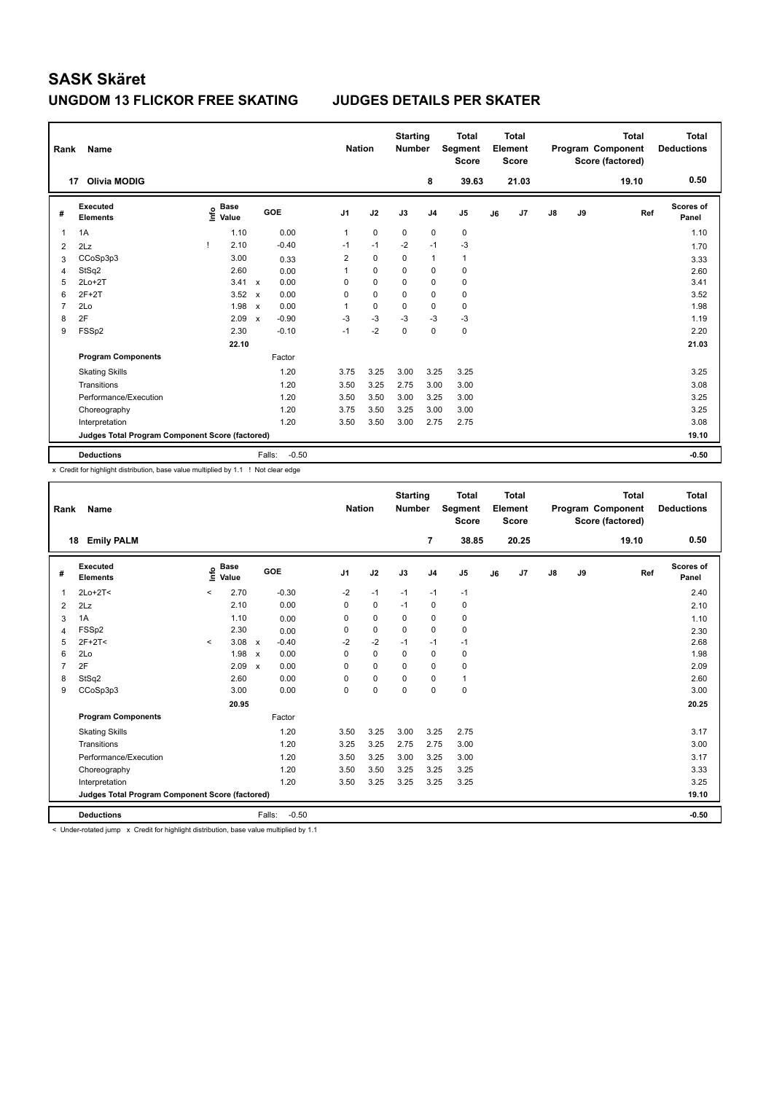### **UNGDOM 13 FLICKOR FREE SKATING JUDGES DETAILS PER SKATER**

| Rank           | Name                                            |                                  |                           |                   | <b>Nation</b>  |             | <b>Starting</b><br><b>Number</b> |                | <b>Total</b><br>Segment<br><b>Score</b> |    | <b>Total</b><br>Element<br><b>Score</b> |    |    | <b>Total</b><br>Program Component<br>Score (factored) | Total<br><b>Deductions</b> |
|----------------|-------------------------------------------------|----------------------------------|---------------------------|-------------------|----------------|-------------|----------------------------------|----------------|-----------------------------------------|----|-----------------------------------------|----|----|-------------------------------------------------------|----------------------------|
| 17             | <b>Olivia MODIG</b>                             |                                  |                           |                   |                |             |                                  | 8              | 39.63                                   |    | 21.03                                   |    |    | 19.10                                                 | 0.50                       |
| #              | Executed<br><b>Elements</b>                     | <b>Base</b><br>e Base<br>⊆ Value |                           | GOE               | J <sub>1</sub> | J2          | J3                               | J <sub>4</sub> | J <sub>5</sub>                          | J6 | J7                                      | J8 | J9 | Ref                                                   | Scores of<br>Panel         |
| 1              | 1A                                              | 1.10                             |                           | 0.00              | 1              | $\mathbf 0$ | $\mathbf 0$                      | $\mathbf 0$    | $\pmb{0}$                               |    |                                         |    |    |                                                       | 1.10                       |
| $\overline{2}$ | 2Lz                                             | 2.10<br>-1                       |                           | $-0.40$           | $-1$           | $-1$        | $-2$                             | $-1$           | $-3$                                    |    |                                         |    |    |                                                       | 1.70                       |
| 3              | CCoSp3p3                                        | 3.00                             |                           | 0.33              | $\overline{2}$ | $\mathbf 0$ | $\Omega$                         | $\mathbf{1}$   | $\mathbf{1}$                            |    |                                         |    |    |                                                       | 3.33                       |
| 4              | StSq2                                           | 2.60                             |                           | 0.00              | 1              | 0           | 0                                | 0              | $\mathbf 0$                             |    |                                         |    |    |                                                       | 2.60                       |
| 5              | $2Lo+2T$                                        | 3.41                             | $\mathbf x$               | 0.00              | 0              | $\mathbf 0$ | $\mathbf 0$                      | $\mathbf 0$    | $\pmb{0}$                               |    |                                         |    |    |                                                       | 3.41                       |
| 6              | $2F+2T$                                         | 3.52                             | $\mathbf x$               | 0.00              | 0              | $\Omega$    | $\Omega$                         | 0              | $\pmb{0}$                               |    |                                         |    |    |                                                       | 3.52                       |
| 7              | 2Lo                                             | 1.98                             | $\boldsymbol{\mathsf{x}}$ | 0.00              | 1              | $\mathbf 0$ | 0                                | $\mathbf 0$    | $\mathbf 0$                             |    |                                         |    |    |                                                       | 1.98                       |
| 8              | 2F                                              | 2.09                             | $\mathbf x$               | $-0.90$           | $-3$           | $-3$        | $-3$                             | $-3$           | $-3$                                    |    |                                         |    |    |                                                       | 1.19                       |
| 9              | FSSp2                                           | 2.30                             |                           | $-0.10$           | $-1$           | $-2$        | $\mathbf 0$                      | $\mathbf 0$    | $\pmb{0}$                               |    |                                         |    |    |                                                       | 2.20                       |
|                |                                                 | 22.10                            |                           |                   |                |             |                                  |                |                                         |    |                                         |    |    |                                                       | 21.03                      |
|                | <b>Program Components</b>                       |                                  |                           | Factor            |                |             |                                  |                |                                         |    |                                         |    |    |                                                       |                            |
|                | <b>Skating Skills</b>                           |                                  |                           | 1.20              | 3.75           | 3.25        | 3.00                             | 3.25           | 3.25                                    |    |                                         |    |    |                                                       | 3.25                       |
|                | Transitions                                     |                                  |                           | 1.20              | 3.50           | 3.25        | 2.75                             | 3.00           | 3.00                                    |    |                                         |    |    |                                                       | 3.08                       |
|                | Performance/Execution                           |                                  |                           | 1.20              | 3.50           | 3.50        | 3.00                             | 3.25           | 3.00                                    |    |                                         |    |    |                                                       | 3.25                       |
|                | Choreography                                    |                                  |                           | 1.20              | 3.75           | 3.50        | 3.25                             | 3.00           | 3.00                                    |    |                                         |    |    |                                                       | 3.25                       |
|                | Interpretation                                  |                                  |                           | 1.20              | 3.50           | 3.50        | 3.00                             | 2.75           | 2.75                                    |    |                                         |    |    |                                                       | 3.08                       |
|                | Judges Total Program Component Score (factored) |                                  |                           |                   |                |             |                                  |                |                                         |    |                                         |    |    |                                                       | 19.10                      |
|                | <b>Deductions</b>                               |                                  |                           | $-0.50$<br>Falls: |                |             |                                  |                |                                         |    |                                         |    |    |                                                       | $-0.50$                    |

x Credit for highlight distribution, base value multiplied by 1.1 ! Not clear edge

| Rank           | <b>Name</b>                                     |         |                      |                           |         | <b>Nation</b>  |             | <b>Starting</b><br><b>Number</b> |                | <b>Total</b><br>Segment<br><b>Score</b> |    | Total<br>Element<br><b>Score</b> |               |    | <b>Total</b><br>Program Component<br>Score (factored) | Total<br><b>Deductions</b> |
|----------------|-------------------------------------------------|---------|----------------------|---------------------------|---------|----------------|-------------|----------------------------------|----------------|-----------------------------------------|----|----------------------------------|---------------|----|-------------------------------------------------------|----------------------------|
| 18             | <b>Emily PALM</b>                               |         |                      |                           |         |                |             |                                  | 7              | 38.85                                   |    | 20.25                            |               |    | 19.10                                                 | 0.50                       |
| #              | Executed<br><b>Elements</b>                     | ١nfo    | <b>Base</b><br>Value |                           | GOE     | J <sub>1</sub> | J2          | J3                               | J <sub>4</sub> | J <sub>5</sub>                          | J6 | J7                               | $\mathsf{J}8$ | J9 | Ref                                                   | <b>Scores of</b><br>Panel  |
| $\mathbf{1}$   | $2Lo+2T<$                                       | $\,<$   | 2.70                 |                           | $-0.30$ | $-2$           | $-1$        | $-1$                             | $-1$           | $-1$                                    |    |                                  |               |    |                                                       | 2.40                       |
| 2              | 2Lz                                             |         | 2.10                 |                           | 0.00    | $\Omega$       | $\mathbf 0$ | $-1$                             | 0              | $\mathbf 0$                             |    |                                  |               |    |                                                       | 2.10                       |
| 3              | 1A                                              |         | 1.10                 |                           | 0.00    | 0              | $\mathbf 0$ | 0                                | $\mathbf 0$    | $\mathbf 0$                             |    |                                  |               |    |                                                       | 1.10                       |
| 4              | FSSp2                                           |         | 2.30                 |                           | 0.00    | $\mathbf 0$    | $\mathbf 0$ | $\Omega$                         | $\Omega$       | $\mathbf 0$                             |    |                                  |               |    |                                                       | 2.30                       |
| 5              | $2F+2T<$                                        | $\prec$ | 3.08                 | $\mathsf{x}$              | $-0.40$ | $-2$           | $-2$        | $-1$                             | $-1$           | $-1$                                    |    |                                  |               |    |                                                       | 2.68                       |
| 6              | 2Lo                                             |         | 1.98                 | $\boldsymbol{\mathsf{x}}$ | 0.00    | $\Omega$       | $\Omega$    | $\Omega$                         | $\mathbf 0$    | 0                                       |    |                                  |               |    |                                                       | 1.98                       |
| $\overline{7}$ | 2F                                              |         | 2.09                 | $\mathsf{x}$              | 0.00    | 0              | $\mathbf 0$ | $\mathbf 0$                      | $\mathbf 0$    | $\mathbf 0$                             |    |                                  |               |    |                                                       | 2.09                       |
| 8              | StSq2                                           |         | 2.60                 |                           | 0.00    | $\Omega$       | $\mathbf 0$ | $\Omega$                         | $\mathbf 0$    | 1                                       |    |                                  |               |    |                                                       | 2.60                       |
| 9              | CCoSp3p3                                        |         | 3.00                 |                           | 0.00    | 0              | $\mathbf 0$ | $\mathbf 0$                      | $\mathbf 0$    | $\mathbf 0$                             |    |                                  |               |    |                                                       | 3.00                       |
|                |                                                 |         | 20.95                |                           |         |                |             |                                  |                |                                         |    |                                  |               |    |                                                       | 20.25                      |
|                | <b>Program Components</b>                       |         |                      |                           | Factor  |                |             |                                  |                |                                         |    |                                  |               |    |                                                       |                            |
|                | <b>Skating Skills</b>                           |         |                      |                           | 1.20    | 3.50           | 3.25        | 3.00                             | 3.25           | 2.75                                    |    |                                  |               |    |                                                       | 3.17                       |
|                | Transitions                                     |         |                      |                           | 1.20    | 3.25           | 3.25        | 2.75                             | 2.75           | 3.00                                    |    |                                  |               |    |                                                       | 3.00                       |
|                | Performance/Execution                           |         |                      |                           | 1.20    | 3.50           | 3.25        | 3.00                             | 3.25           | 3.00                                    |    |                                  |               |    |                                                       | 3.17                       |
|                | Choreography                                    |         |                      |                           | 1.20    | 3.50           | 3.50        | 3.25                             | 3.25           | 3.25                                    |    |                                  |               |    |                                                       | 3.33                       |
|                | Interpretation                                  |         |                      |                           | 1.20    | 3.50           | 3.25        | 3.25                             | 3.25           | 3.25                                    |    |                                  |               |    |                                                       | 3.25                       |
|                | Judges Total Program Component Score (factored) |         |                      |                           |         |                |             |                                  |                |                                         |    |                                  |               |    |                                                       | 19.10                      |
|                | <b>Deductions</b>                               |         |                      | Falls:                    | $-0.50$ |                |             |                                  |                |                                         |    |                                  |               |    |                                                       | $-0.50$                    |

< Under-rotated jump x Credit for highlight distribution, base value multiplied by 1.1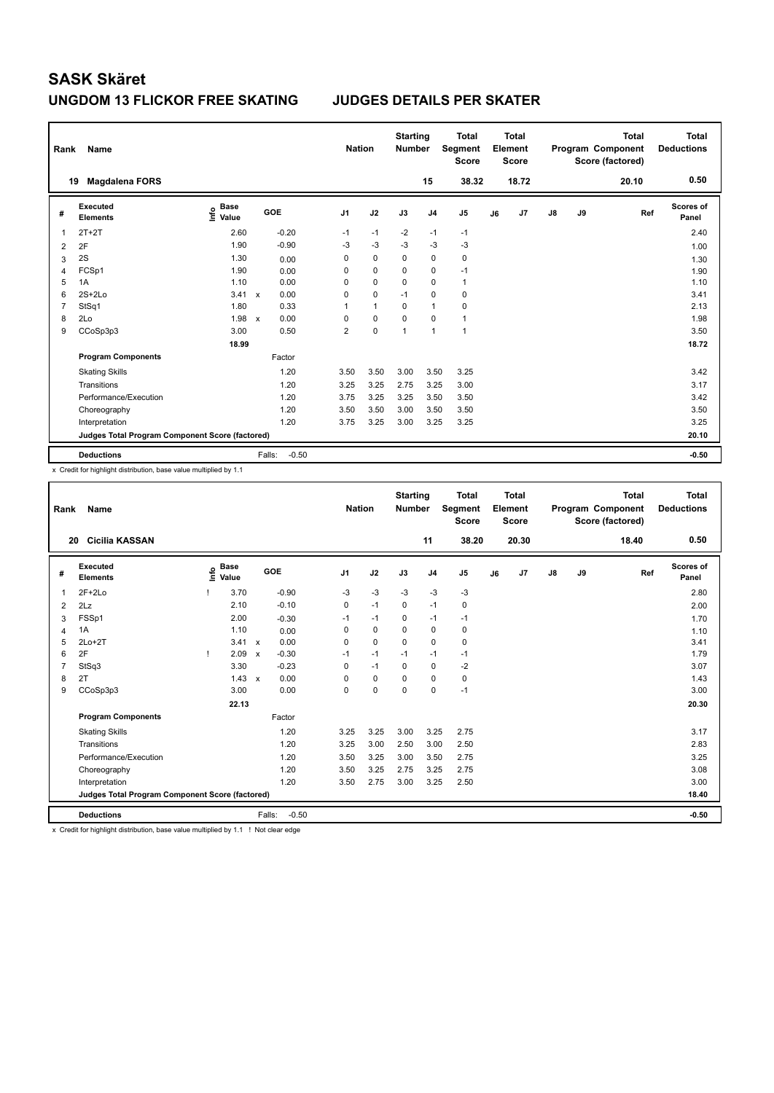### **UNGDOM 13 FLICKOR FREE SKATING JUDGES DETAILS PER SKATER**

| Rank           | Name                                            |                                  |                      |                | <b>Nation</b> | <b>Starting</b><br><b>Number</b> |                | <b>Total</b><br>Segment<br>Score |    | Total<br>Element<br><b>Score</b> |               |    | <b>Total</b><br>Program Component<br>Score (factored) | Total<br><b>Deductions</b> |
|----------------|-------------------------------------------------|----------------------------------|----------------------|----------------|---------------|----------------------------------|----------------|----------------------------------|----|----------------------------------|---------------|----|-------------------------------------------------------|----------------------------|
|                | <b>Magdalena FORS</b><br>19                     |                                  |                      |                |               |                                  | 15             | 38.32                            |    | 18.72                            |               |    | 20.10                                                 | 0.50                       |
| #              | Executed<br><b>Elements</b>                     | <b>Base</b><br>e Base<br>⊆ Value | <b>GOE</b>           | J <sub>1</sub> | J2            | J3                               | J <sub>4</sub> | J <sub>5</sub>                   | J6 | J7                               | $\mathsf{J}8$ | J9 | Ref                                                   | Scores of<br>Panel         |
|                | $2T+2T$                                         | 2.60                             | $-0.20$              | $-1$           | $-1$          | $-2$                             | $-1$           | $-1$                             |    |                                  |               |    |                                                       | 2.40                       |
| $\overline{2}$ | 2F                                              | 1.90                             | $-0.90$              | $-3$           | $-3$          | $-3$                             | $-3$           | $-3$                             |    |                                  |               |    |                                                       | 1.00                       |
| 3              | 2S                                              | 1.30                             | 0.00                 | 0              | 0             | 0                                | $\mathbf 0$    | $\mathbf 0$                      |    |                                  |               |    |                                                       | 1.30                       |
| $\overline{4}$ | FCSp1                                           | 1.90                             | 0.00                 | $\Omega$       | $\mathbf 0$   | $\Omega$                         | $\mathbf 0$    | $-1$                             |    |                                  |               |    |                                                       | 1.90                       |
| 5              | 1A                                              | 1.10                             | 0.00                 | $\Omega$       | 0             | 0                                | $\Omega$       | 1                                |    |                                  |               |    |                                                       | 1.10                       |
| 6              | $2S+2Lo$                                        | 3.41                             | 0.00<br>$\mathsf{x}$ | 0              | 0             | $-1$                             | 0              | $\mathbf 0$                      |    |                                  |               |    |                                                       | 3.41                       |
| 7              | StSq1                                           | 1.80                             | 0.33                 | $\mathbf 1$    | $\mathbf{1}$  | $\Omega$                         | 1              | 0                                |    |                                  |               |    |                                                       | 2.13                       |
| 8              | 2Lo                                             | 1.98                             | 0.00<br>$\mathsf{x}$ | $\Omega$       | 0             | $\Omega$                         | $\Omega$       | $\mathbf{1}$                     |    |                                  |               |    |                                                       | 1.98                       |
| 9              | CCoSp3p3                                        | 3.00                             | 0.50                 | $\overline{2}$ | 0             | $\overline{1}$                   | 1              | $\overline{1}$                   |    |                                  |               |    |                                                       | 3.50                       |
|                |                                                 | 18.99                            |                      |                |               |                                  |                |                                  |    |                                  |               |    |                                                       | 18.72                      |
|                | <b>Program Components</b>                       |                                  | Factor               |                |               |                                  |                |                                  |    |                                  |               |    |                                                       |                            |
|                | <b>Skating Skills</b>                           |                                  | 1.20                 | 3.50           | 3.50          | 3.00                             | 3.50           | 3.25                             |    |                                  |               |    |                                                       | 3.42                       |
|                | Transitions                                     |                                  | 1.20                 | 3.25           | 3.25          | 2.75                             | 3.25           | 3.00                             |    |                                  |               |    |                                                       | 3.17                       |
|                | Performance/Execution                           |                                  | 1.20                 | 3.75           | 3.25          | 3.25                             | 3.50           | 3.50                             |    |                                  |               |    |                                                       | 3.42                       |
|                | Choreography                                    |                                  | 1.20                 | 3.50           | 3.50          | 3.00                             | 3.50           | 3.50                             |    |                                  |               |    |                                                       | 3.50                       |
|                | Interpretation                                  |                                  | 1.20                 | 3.75           | 3.25          | 3.00                             | 3.25           | 3.25                             |    |                                  |               |    |                                                       | 3.25                       |
|                | Judges Total Program Component Score (factored) |                                  |                      |                |               |                                  |                |                                  |    |                                  |               |    |                                                       | 20.10                      |
|                | <b>Deductions</b>                               |                                  | $-0.50$<br>Falls:    |                |               |                                  |                |                                  |    |                                  |               |    |                                                       | $-0.50$                    |

x Credit for highlight distribution, base value multiplied by 1.1

| Rank           | <b>Name</b>                                     |      |                      |                           |                   | <b>Nation</b>  |             | <b>Starting</b><br><b>Number</b> |                | <b>Total</b><br>Segment<br><b>Score</b> |    | Total<br>Element<br><b>Score</b> |               |    | <b>Total</b><br>Program Component<br>Score (factored) | <b>Total</b><br><b>Deductions</b> |
|----------------|-------------------------------------------------|------|----------------------|---------------------------|-------------------|----------------|-------------|----------------------------------|----------------|-----------------------------------------|----|----------------------------------|---------------|----|-------------------------------------------------------|-----------------------------------|
|                | <b>Cicilia KASSAN</b><br>20                     |      |                      |                           |                   |                |             |                                  | 11             | 38.20                                   |    | 20.30                            |               |    | 18.40                                                 | 0.50                              |
| #              | Executed<br><b>Elements</b>                     | lnfo | <b>Base</b><br>Value |                           | GOE               | J <sub>1</sub> | J2          | J3                               | J <sub>4</sub> | J <sub>5</sub>                          | J6 | J7                               | $\mathsf{J}8$ | J9 | Ref                                                   | <b>Scores of</b><br>Panel         |
| $\mathbf 1$    | $2F+2Lo$                                        |      | 3.70                 |                           | $-0.90$           | $-3$           | $-3$        | $-3$                             | $-3$           | $-3$                                    |    |                                  |               |    |                                                       | 2.80                              |
| 2              | 2Lz                                             |      | 2.10                 |                           | $-0.10$           | 0              | $-1$        | 0                                | $-1$           | 0                                       |    |                                  |               |    |                                                       | 2.00                              |
| 3              | FSSp1                                           |      | 2.00                 |                           | $-0.30$           | $-1$           | $-1$        | 0                                | $-1$           | $-1$                                    |    |                                  |               |    |                                                       | 1.70                              |
| 4              | 1A                                              |      | 1.10                 |                           | 0.00              | 0              | $\mathbf 0$ | $\mathbf 0$                      | $\mathbf 0$    | $\mathbf 0$                             |    |                                  |               |    |                                                       | 1.10                              |
| 5              | $2Lo+2T$                                        |      | 3.41                 | $\boldsymbol{\mathsf{x}}$ | 0.00              | 0              | $\mathbf 0$ | $\mathbf 0$                      | $\mathbf 0$    | 0                                       |    |                                  |               |    |                                                       | 3.41                              |
| 6              | 2F                                              |      | 2.09                 | $\boldsymbol{\mathsf{x}}$ | $-0.30$           | $-1$           | $-1$        | $-1$                             | $-1$           | $-1$                                    |    |                                  |               |    |                                                       | 1.79                              |
| $\overline{7}$ | StSq3                                           |      | 3.30                 |                           | $-0.23$           | 0              | $-1$        | $\mathbf 0$                      | $\mathbf 0$    | $-2$                                    |    |                                  |               |    |                                                       | 3.07                              |
| 8              | 2T                                              |      | 1.43                 | $\boldsymbol{\mathsf{x}}$ | 0.00              | 0              | $\mathbf 0$ | 0                                | $\mathbf 0$    | $\mathbf 0$                             |    |                                  |               |    |                                                       | 1.43                              |
| 9              | CCoSp3p3                                        |      | 3.00                 |                           | 0.00              | $\Omega$       | 0           | $\Omega$                         | 0              | $-1$                                    |    |                                  |               |    |                                                       | 3.00                              |
|                |                                                 |      | 22.13                |                           |                   |                |             |                                  |                |                                         |    |                                  |               |    |                                                       | 20.30                             |
|                | <b>Program Components</b>                       |      |                      |                           | Factor            |                |             |                                  |                |                                         |    |                                  |               |    |                                                       |                                   |
|                | <b>Skating Skills</b>                           |      |                      |                           | 1.20              | 3.25           | 3.25        | 3.00                             | 3.25           | 2.75                                    |    |                                  |               |    |                                                       | 3.17                              |
|                | Transitions                                     |      |                      |                           | 1.20              | 3.25           | 3.00        | 2.50                             | 3.00           | 2.50                                    |    |                                  |               |    |                                                       | 2.83                              |
|                | Performance/Execution                           |      |                      |                           | 1.20              | 3.50           | 3.25        | 3.00                             | 3.50           | 2.75                                    |    |                                  |               |    |                                                       | 3.25                              |
|                | Choreography                                    |      |                      |                           | 1.20              | 3.50           | 3.25        | 2.75                             | 3.25           | 2.75                                    |    |                                  |               |    |                                                       | 3.08                              |
|                | Interpretation                                  |      |                      |                           | 1.20              | 3.50           | 2.75        | 3.00                             | 3.25           | 2.50                                    |    |                                  |               |    |                                                       | 3.00                              |
|                | Judges Total Program Component Score (factored) |      |                      |                           |                   |                |             |                                  |                |                                         |    |                                  |               |    |                                                       | 18.40                             |
|                | <b>Deductions</b>                               |      |                      |                           | $-0.50$<br>Falls: |                |             |                                  |                |                                         |    |                                  |               |    |                                                       | $-0.50$                           |

x Credit for highlight distribution, base value multiplied by 1.1 ! Not clear edge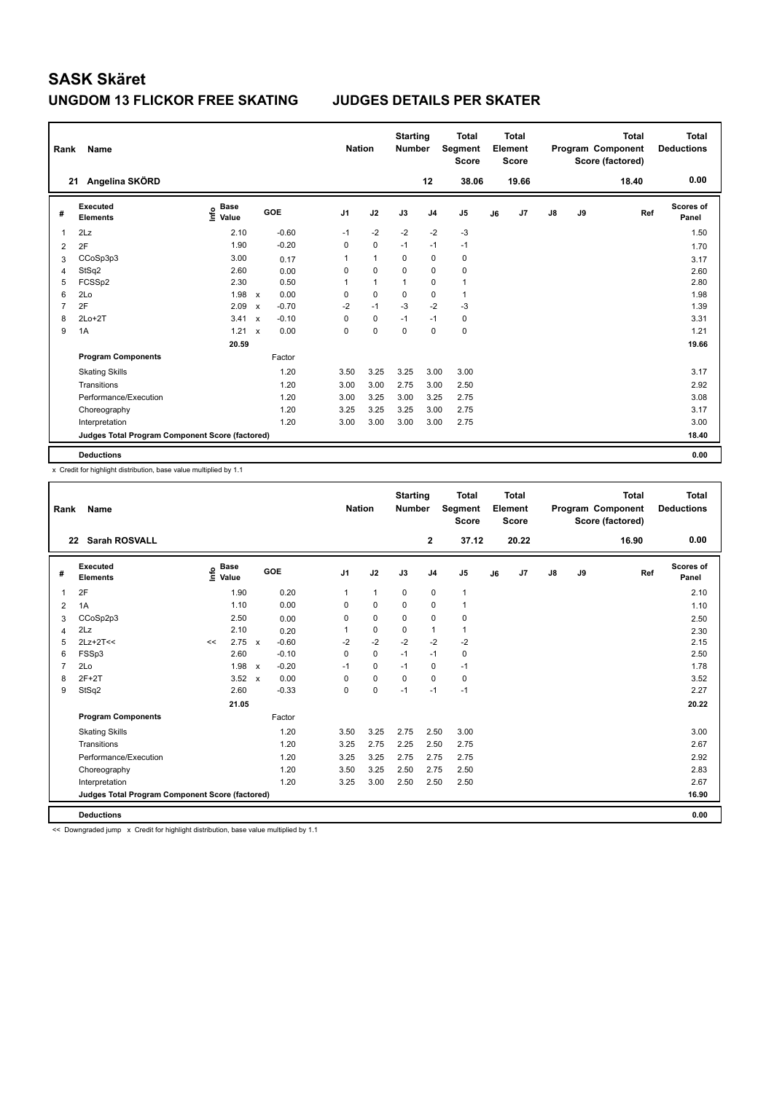### **UNGDOM 13 FLICKOR FREE SKATING JUDGES DETAILS PER SKATER**

| Rank | Name                                            |                                  |                           |         |                | <b>Nation</b> |              | <b>Starting</b><br><b>Number</b> |                | <b>Total</b><br>Segment<br><b>Score</b> |    | <b>Total</b><br>Element<br><b>Score</b> |               |    | <b>Total</b><br>Program Component<br>Score (factored) | <b>Total</b><br><b>Deductions</b> |
|------|-------------------------------------------------|----------------------------------|---------------------------|---------|----------------|---------------|--------------|----------------------------------|----------------|-----------------------------------------|----|-----------------------------------------|---------------|----|-------------------------------------------------------|-----------------------------------|
|      | Angelina SKÖRD<br>21                            |                                  |                           |         |                |               |              |                                  | 12             | 38.06                                   |    | 19.66                                   |               |    | 18.40                                                 | 0.00                              |
| #    | Executed<br><b>Elements</b>                     | <b>Base</b><br>e Base<br>⊆ Value |                           | GOE     | J <sub>1</sub> |               | J2           | J3                               | J <sub>4</sub> | J5                                      | J6 | J7                                      | $\mathsf{J}8$ | J9 | Ref                                                   | Scores of<br>Panel                |
| 1    | 2Lz                                             | 2.10                             |                           | $-0.60$ | $-1$           |               | $-2$         | $-2$                             | $-2$           | $-3$                                    |    |                                         |               |    |                                                       | 1.50                              |
| 2    | 2F                                              | 1.90                             |                           | $-0.20$ | 0              |               | $\mathbf 0$  | $-1$                             | $-1$           | $-1$                                    |    |                                         |               |    |                                                       | 1.70                              |
| 3    | CCoSp3p3                                        | 3.00                             |                           | 0.17    | 1              |               | $\mathbf{1}$ | 0                                | 0              | 0                                       |    |                                         |               |    |                                                       | 3.17                              |
| 4    | StSq2                                           | 2.60                             |                           | 0.00    | 0              |               | $\mathbf 0$  | $\mathbf 0$                      | $\mathbf 0$    | $\pmb{0}$                               |    |                                         |               |    |                                                       | 2.60                              |
| 5    | FCSSp2                                          | 2.30                             |                           | 0.50    | 1              |               | $\mathbf{1}$ | 1                                | 0              | $\mathbf{1}$                            |    |                                         |               |    |                                                       | 2.80                              |
| 6    | 2Lo                                             | 1.98                             | $\mathsf{x}$              | 0.00    | 0              |               | $\mathbf 0$  | $\mathbf 0$                      | $\mathbf 0$    | $\mathbf{1}$                            |    |                                         |               |    |                                                       | 1.98                              |
| 7    | 2F                                              | 2.09                             | $\boldsymbol{\mathsf{x}}$ | $-0.70$ | $-2$           |               | $-1$         | $-3$                             | $-2$           | $-3$                                    |    |                                         |               |    |                                                       | 1.39                              |
| 8    | $2Lo+2T$                                        | 3.41                             | $\boldsymbol{\mathsf{x}}$ | $-0.10$ | 0              |               | $\pmb{0}$    | $-1$                             | $-1$           | 0                                       |    |                                         |               |    |                                                       | 3.31                              |
| 9    | 1A                                              | 1.21                             | $\boldsymbol{\mathsf{x}}$ | 0.00    | 0              |               | 0            | 0                                | $\mathbf 0$    | $\mathbf 0$                             |    |                                         |               |    |                                                       | 1.21                              |
|      |                                                 | 20.59                            |                           |         |                |               |              |                                  |                |                                         |    |                                         |               |    |                                                       | 19.66                             |
|      | <b>Program Components</b>                       |                                  |                           | Factor  |                |               |              |                                  |                |                                         |    |                                         |               |    |                                                       |                                   |
|      | <b>Skating Skills</b>                           |                                  |                           | 1.20    | 3.50           |               | 3.25         | 3.25                             | 3.00           | 3.00                                    |    |                                         |               |    |                                                       | 3.17                              |
|      | Transitions                                     |                                  |                           | 1.20    | 3.00           |               | 3.00         | 2.75                             | 3.00           | 2.50                                    |    |                                         |               |    |                                                       | 2.92                              |
|      | Performance/Execution                           |                                  |                           | 1.20    | 3.00           |               | 3.25         | 3.00                             | 3.25           | 2.75                                    |    |                                         |               |    |                                                       | 3.08                              |
|      | Choreography                                    |                                  |                           | 1.20    | 3.25           |               | 3.25         | 3.25                             | 3.00           | 2.75                                    |    |                                         |               |    |                                                       | 3.17                              |
|      | Interpretation                                  |                                  |                           | 1.20    | 3.00           |               | 3.00         | 3.00                             | 3.00           | 2.75                                    |    |                                         |               |    |                                                       | 3.00                              |
|      | Judges Total Program Component Score (factored) |                                  |                           |         |                |               |              |                                  |                |                                         |    |                                         |               |    |                                                       | 18.40                             |
|      | <b>Deductions</b>                               |                                  |                           |         |                |               |              |                                  |                |                                         |    |                                         |               |    |                                                       | 0.00                              |

x Credit for highlight distribution, base value multiplied by 1.1

| Rank           | Name                                            |                                  |                                      | <b>Nation</b>  |                | <b>Starting</b><br><b>Number</b> |                | <b>Total</b><br><b>Segment</b><br><b>Score</b> |    | Total<br>Element<br><b>Score</b> |    |    | <b>Total</b><br>Program Component<br>Score (factored) | Total<br><b>Deductions</b> |
|----------------|-------------------------------------------------|----------------------------------|--------------------------------------|----------------|----------------|----------------------------------|----------------|------------------------------------------------|----|----------------------------------|----|----|-------------------------------------------------------|----------------------------|
| 22             | <b>Sarah ROSVALL</b>                            |                                  |                                      |                |                |                                  | $\mathbf{2}$   | 37.12                                          |    | 20.22                            |    |    | 16.90                                                 | 0.00                       |
| #              | Executed<br><b>Elements</b>                     | <b>Base</b><br>e Base<br>⊆ Value | GOE                                  | J <sub>1</sub> | J2             | J3                               | J <sub>4</sub> | J <sub>5</sub>                                 | J6 | J7                               | J8 | J9 | Ref                                                   | Scores of<br>Panel         |
| 1              | 2F                                              | 1.90                             | 0.20                                 | $\mathbf{1}$   | $\overline{1}$ | $\mathbf 0$                      | $\mathbf 0$    | $\mathbf{1}$                                   |    |                                  |    |    |                                                       | 2.10                       |
| 2              | 1A                                              | 1.10                             | 0.00                                 | 0              | $\mathbf 0$    | $\mathbf 0$                      | $\mathbf 0$    | $\mathbf{1}$                                   |    |                                  |    |    |                                                       | 1.10                       |
| 3              | CCoSp2p3                                        | 2.50                             | 0.00                                 | 0              | 0              | 0                                | 0              | 0                                              |    |                                  |    |    |                                                       | 2.50                       |
| $\overline{4}$ | 2Lz                                             | 2.10                             | 0.20                                 | 1              | $\mathbf 0$    | $\Omega$                         | $\mathbf{1}$   | $\mathbf{1}$                                   |    |                                  |    |    |                                                       | 2.30                       |
| 5              | $2Lz+2T<<$                                      | 2.75<br><<                       | $-0.60$<br>$\mathbf x$               | $-2$           | $-2$           | $-2$                             | $-2$           | $-2$                                           |    |                                  |    |    |                                                       | 2.15                       |
| 6              | FSSp3                                           | 2.60                             | $-0.10$                              | 0              | $\mathbf 0$    | $-1$                             | $-1$           | 0                                              |    |                                  |    |    |                                                       | 2.50                       |
| $\overline{7}$ | 2Lo                                             | 1.98                             | $-0.20$<br>$\boldsymbol{\mathsf{x}}$ | $-1$           | $\mathbf 0$    | $-1$                             | $\mathbf 0$    | $-1$                                           |    |                                  |    |    |                                                       | 1.78                       |
| 8              | $2F+2T$                                         | 3.52                             | 0.00<br>$\boldsymbol{\mathsf{x}}$    | $\Omega$       | $\mathbf 0$    | $\mathbf 0$                      | $\mathbf 0$    | 0                                              |    |                                  |    |    |                                                       | 3.52                       |
| 9              | StSq2                                           | 2.60                             | $-0.33$                              | 0              | $\mathbf 0$    | $-1$                             | $-1$           | $-1$                                           |    |                                  |    |    |                                                       | 2.27                       |
|                |                                                 | 21.05                            |                                      |                |                |                                  |                |                                                |    |                                  |    |    |                                                       | 20.22                      |
|                | <b>Program Components</b>                       |                                  | Factor                               |                |                |                                  |                |                                                |    |                                  |    |    |                                                       |                            |
|                | <b>Skating Skills</b>                           |                                  | 1.20                                 | 3.50           | 3.25           | 2.75                             | 2.50           | 3.00                                           |    |                                  |    |    |                                                       | 3.00                       |
|                | Transitions                                     |                                  | 1.20                                 | 3.25           | 2.75           | 2.25                             | 2.50           | 2.75                                           |    |                                  |    |    |                                                       | 2.67                       |
|                | Performance/Execution                           |                                  | 1.20                                 | 3.25           | 3.25           | 2.75                             | 2.75           | 2.75                                           |    |                                  |    |    |                                                       | 2.92                       |
|                | Choreography                                    |                                  | 1.20                                 | 3.50           | 3.25           | 2.50                             | 2.75           | 2.50                                           |    |                                  |    |    |                                                       | 2.83                       |
|                | Interpretation                                  |                                  | 1.20                                 | 3.25           | 3.00           | 2.50                             | 2.50           | 2.50                                           |    |                                  |    |    |                                                       | 2.67                       |
|                | Judges Total Program Component Score (factored) |                                  |                                      |                |                |                                  |                |                                                |    |                                  |    |    |                                                       | 16.90                      |
|                | <b>Deductions</b>                               |                                  |                                      |                |                |                                  |                |                                                |    |                                  |    |    |                                                       | 0.00                       |

<< Downgraded jump x Credit for highlight distribution, base value multiplied by 1.1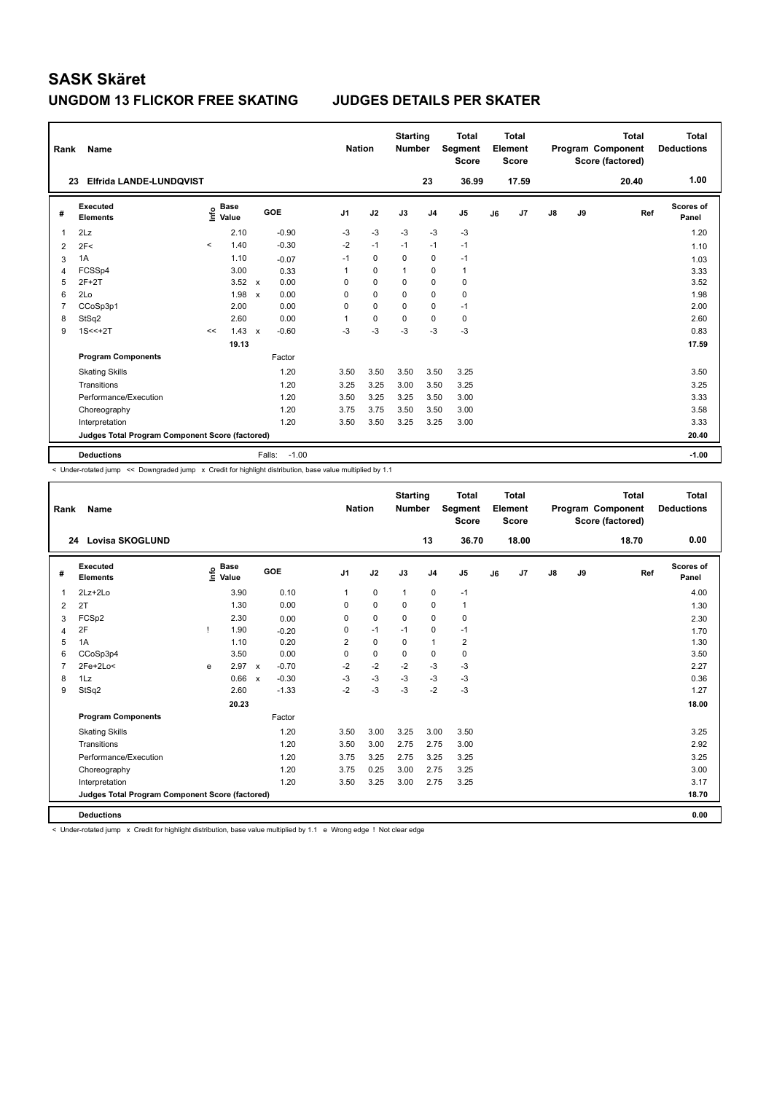### **UNGDOM 13 FLICKOR FREE SKATING JUDGES DETAILS PER SKATER**

| Rank           | Name                                            |         |                                  |                           |                   | <b>Nation</b>  |             | <b>Starting</b><br><b>Number</b> |                | <b>Total</b><br>Segment<br><b>Score</b> |    | <b>Total</b><br>Element<br><b>Score</b> |               |    | <b>Total</b><br>Program Component<br>Score (factored) | Total<br><b>Deductions</b> |
|----------------|-------------------------------------------------|---------|----------------------------------|---------------------------|-------------------|----------------|-------------|----------------------------------|----------------|-----------------------------------------|----|-----------------------------------------|---------------|----|-------------------------------------------------------|----------------------------|
|                | Elfrida LANDE-LUNDQVIST<br>23                   |         |                                  |                           |                   |                |             |                                  | 23             | 36.99                                   |    | 17.59                                   |               |    | 20.40                                                 | 1.00                       |
| #              | Executed<br><b>Elements</b>                     |         | <b>Base</b><br>e Base<br>⊆ Value |                           | GOE               | J <sub>1</sub> | J2          | J3                               | J <sub>4</sub> | J5                                      | J6 | J7                                      | $\mathsf{J}8$ | J9 | Ref                                                   | Scores of<br>Panel         |
| 1              | 2Lz                                             |         | 2.10                             |                           | $-0.90$           | $-3$           | $-3$        | $-3$                             | $-3$           | $-3$                                    |    |                                         |               |    |                                                       | 1.20                       |
| 2              | 2F<                                             | $\prec$ | 1.40                             |                           | $-0.30$           | $-2$           | $-1$        | $-1$                             | $-1$           | $-1$                                    |    |                                         |               |    |                                                       | 1.10                       |
| 3              | 1A                                              |         | 1.10                             |                           | $-0.07$           | $-1$           | $\mathbf 0$ | 0                                | 0              | $-1$                                    |    |                                         |               |    |                                                       | 1.03                       |
| 4              | FCSSp4                                          |         | 3.00                             |                           | 0.33              | 1              | $\mathbf 0$ | $\mathbf{1}$                     | 0              | $\mathbf{1}$                            |    |                                         |               |    |                                                       | 3.33                       |
| 5              | $2F+2T$                                         |         | $3.52 \times$                    |                           | 0.00              | 0              | $\mathbf 0$ | 0                                | $\mathbf 0$    | $\pmb{0}$                               |    |                                         |               |    |                                                       | 3.52                       |
| 6              | 2Lo                                             |         | 1.98                             | $\boldsymbol{\mathsf{x}}$ | 0.00              | 0              | $\mathbf 0$ | 0                                | $\pmb{0}$      | $\pmb{0}$                               |    |                                         |               |    |                                                       | 1.98                       |
| $\overline{7}$ | CCoSp3p1                                        |         | 2.00                             |                           | 0.00              | 0              | $\Omega$    | $\Omega$                         | $\pmb{0}$      | $-1$                                    |    |                                         |               |    |                                                       | 2.00                       |
| 8              | StSq2                                           |         | 2.60                             |                           | 0.00              | 1              | 0           | 0                                | 0              | 0                                       |    |                                         |               |    |                                                       | 2.60                       |
| 9              | $1S < +2T$                                      | <<      | 1.43                             | $\mathsf{x}$              | $-0.60$           | $-3$           | $-3$        | $-3$                             | $-3$           | $-3$                                    |    |                                         |               |    |                                                       | 0.83                       |
|                |                                                 |         | 19.13                            |                           |                   |                |             |                                  |                |                                         |    |                                         |               |    |                                                       | 17.59                      |
|                | <b>Program Components</b>                       |         |                                  |                           | Factor            |                |             |                                  |                |                                         |    |                                         |               |    |                                                       |                            |
|                | <b>Skating Skills</b>                           |         |                                  |                           | 1.20              | 3.50           | 3.50        | 3.50                             | 3.50           | 3.25                                    |    |                                         |               |    |                                                       | 3.50                       |
|                | Transitions                                     |         |                                  |                           | 1.20              | 3.25           | 3.25        | 3.00                             | 3.50           | 3.25                                    |    |                                         |               |    |                                                       | 3.25                       |
|                | Performance/Execution                           |         |                                  |                           | 1.20              | 3.50           | 3.25        | 3.25                             | 3.50           | 3.00                                    |    |                                         |               |    |                                                       | 3.33                       |
|                | Choreography                                    |         |                                  |                           | 1.20              | 3.75           | 3.75        | 3.50                             | 3.50           | 3.00                                    |    |                                         |               |    |                                                       | 3.58                       |
|                | Interpretation                                  |         |                                  |                           | 1.20              | 3.50           | 3.50        | 3.25                             | 3.25           | 3.00                                    |    |                                         |               |    |                                                       | 3.33                       |
|                | Judges Total Program Component Score (factored) |         |                                  |                           |                   |                |             |                                  |                |                                         |    |                                         |               |    |                                                       | 20.40                      |
|                | <b>Deductions</b>                               |         |                                  |                           | $-1.00$<br>Falls: |                |             |                                  |                |                                         |    |                                         |               |    |                                                       | $-1.00$                    |

< Under-rotated jump << Downgraded jump x Credit for highlight distribution, base value multiplied by 1.1

| Rank           | <b>Name</b>                                     |   |                                  |                           |         |                | <b>Nation</b> | <b>Starting</b><br><b>Number</b> |                | <b>Total</b><br><b>Segment</b><br><b>Score</b> |    | Total<br>Element<br><b>Score</b> |    |    | <b>Total</b><br>Program Component<br>Score (factored) | Total<br><b>Deductions</b> |
|----------------|-------------------------------------------------|---|----------------------------------|---------------------------|---------|----------------|---------------|----------------------------------|----------------|------------------------------------------------|----|----------------------------------|----|----|-------------------------------------------------------|----------------------------|
|                | Lovisa SKOGLUND<br>24                           |   |                                  |                           |         |                |               |                                  | 13             | 36.70                                          |    | 18.00                            |    |    | 18.70                                                 | 0.00                       |
| #              | Executed<br><b>Elements</b>                     |   | <b>Base</b><br>e Base<br>⊆ Value |                           | GOE     | J <sub>1</sub> | J2            | J3                               | J <sub>4</sub> | J <sub>5</sub>                                 | J6 | J7                               | J8 | J9 | Ref                                                   | Scores of<br>Panel         |
| $\mathbf{1}$   | $2Lz+2Lo$                                       |   | 3.90                             |                           | 0.10    | $\mathbf{1}$   | $\mathbf 0$   | $\mathbf{1}$                     | $\mathbf 0$    | $-1$                                           |    |                                  |    |    |                                                       | 4.00                       |
| 2              | 2T                                              |   | 1.30                             |                           | 0.00    | 0              | $\mathbf 0$   | 0                                | $\mathbf 0$    | 1                                              |    |                                  |    |    |                                                       | 1.30                       |
| 3              | FCSp2                                           |   | 2.30                             |                           | 0.00    | 0              | $\mathbf 0$   | 0                                | $\mathbf 0$    | $\mathbf 0$                                    |    |                                  |    |    |                                                       | 2.30                       |
| 4              | 2F                                              |   | 1.90                             |                           | $-0.20$ | 0              | $-1$          | $-1$                             | $\mathbf 0$    | $-1$                                           |    |                                  |    |    |                                                       | 1.70                       |
| 5              | 1A                                              |   | 1.10                             |                           | 0.20    | $\overline{2}$ | $\mathbf 0$   | $\mathbf 0$                      | $\mathbf{1}$   | $\overline{2}$                                 |    |                                  |    |    |                                                       | 1.30                       |
| 6              | CCoSp3p4                                        |   | 3.50                             |                           | 0.00    | 0              | $\mathbf 0$   | 0                                | $\mathbf 0$    | $\mathbf 0$                                    |    |                                  |    |    |                                                       | 3.50                       |
| $\overline{7}$ | 2Fe+2Lo<                                        | e | 2.97                             | $\mathsf{x}$              | $-0.70$ | $-2$           | $-2$          | $-2$                             | $-3$           | $-3$                                           |    |                                  |    |    |                                                       | 2.27                       |
| 8              | 1Lz                                             |   | 0.66                             | $\boldsymbol{\mathsf{x}}$ | $-0.30$ | $-3$           | $-3$          | $-3$                             | $-3$           | $-3$                                           |    |                                  |    |    |                                                       | 0.36                       |
| 9              | StSq2                                           |   | 2.60                             |                           | $-1.33$ | $-2$           | $-3$          | $-3$                             | $-2$           | $-3$                                           |    |                                  |    |    |                                                       | 1.27                       |
|                |                                                 |   | 20.23                            |                           |         |                |               |                                  |                |                                                |    |                                  |    |    |                                                       | 18.00                      |
|                | <b>Program Components</b>                       |   |                                  |                           | Factor  |                |               |                                  |                |                                                |    |                                  |    |    |                                                       |                            |
|                | <b>Skating Skills</b>                           |   |                                  |                           | 1.20    | 3.50           | 3.00          | 3.25                             | 3.00           | 3.50                                           |    |                                  |    |    |                                                       | 3.25                       |
|                | Transitions                                     |   |                                  |                           | 1.20    | 3.50           | 3.00          | 2.75                             | 2.75           | 3.00                                           |    |                                  |    |    |                                                       | 2.92                       |
|                | Performance/Execution                           |   |                                  |                           | 1.20    | 3.75           | 3.25          | 2.75                             | 3.25           | 3.25                                           |    |                                  |    |    |                                                       | 3.25                       |
|                | Choreography                                    |   |                                  |                           | 1.20    | 3.75           | 0.25          | 3.00                             | 2.75           | 3.25                                           |    |                                  |    |    |                                                       | 3.00                       |
|                | Interpretation                                  |   |                                  |                           | 1.20    | 3.50           | 3.25          | 3.00                             | 2.75           | 3.25                                           |    |                                  |    |    |                                                       | 3.17                       |
|                | Judges Total Program Component Score (factored) |   |                                  |                           |         |                |               |                                  |                |                                                |    |                                  |    |    |                                                       | 18.70                      |
|                | <b>Deductions</b>                               |   |                                  |                           |         |                |               |                                  |                |                                                |    |                                  |    |    |                                                       | 0.00                       |

< Under-rotated jump x Credit for highlight distribution, base value multiplied by 1.1 e Wrong edge ! Not clear edge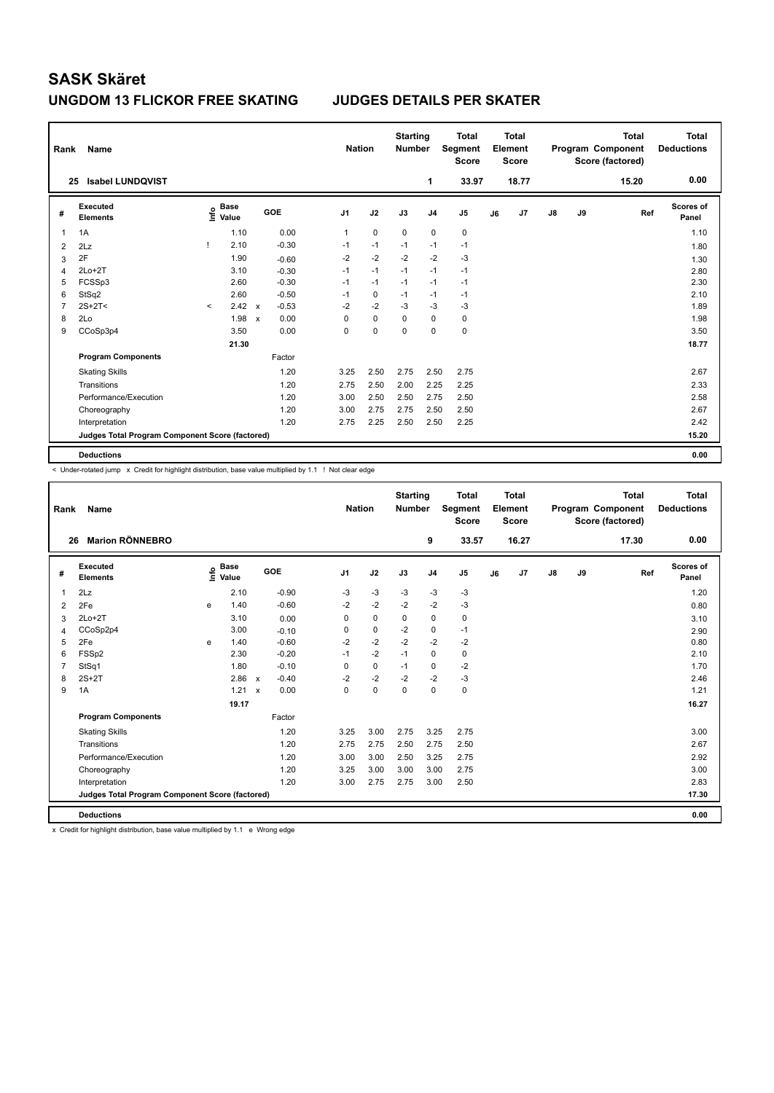| Rank           | Name                                            |         |                                  |              |         |                | <b>Nation</b> | <b>Starting</b><br><b>Number</b> |                | <b>Total</b><br>Segment<br><b>Score</b> |    | Total<br>Element<br><b>Score</b> |               |    | <b>Total</b><br>Program Component<br>Score (factored) | Total<br><b>Deductions</b> |
|----------------|-------------------------------------------------|---------|----------------------------------|--------------|---------|----------------|---------------|----------------------------------|----------------|-----------------------------------------|----|----------------------------------|---------------|----|-------------------------------------------------------|----------------------------|
|                | <b>Isabel LUNDQVIST</b><br>25                   |         |                                  |              |         |                |               |                                  | 1              | 33.97                                   |    | 18.77                            |               |    | 15.20                                                 | 0.00                       |
| #              | <b>Executed</b><br><b>Elements</b>              |         | <b>Base</b><br>e Base<br>⊆ Value |              | GOE     | J <sub>1</sub> | J2            | J3                               | J <sub>4</sub> | J5                                      | J6 | J7                               | $\mathsf{J}8$ | J9 | Ref                                                   | <b>Scores of</b><br>Panel  |
| 1              | 1A                                              |         | 1.10                             |              | 0.00    | 1              | $\mathbf 0$   | $\Omega$                         | $\mathbf 0$    | $\pmb{0}$                               |    |                                  |               |    |                                                       | 1.10                       |
| $\overline{2}$ | 2Lz                                             | -1      | 2.10                             |              | $-0.30$ | $-1$           | $-1$          | $-1$                             | $-1$           | $-1$                                    |    |                                  |               |    |                                                       | 1.80                       |
| 3              | 2F                                              |         | 1.90                             |              | $-0.60$ | $-2$           | $-2$          | $-2$                             | $-2$           | $-3$                                    |    |                                  |               |    |                                                       | 1.30                       |
| 4              | $2Lo+2T$                                        |         | 3.10                             |              | $-0.30$ | $-1$           | $-1$          | $-1$                             | $-1$           | $-1$                                    |    |                                  |               |    |                                                       | 2.80                       |
| 5              | FCSSp3                                          |         | 2.60                             |              | $-0.30$ | $-1$           | $-1$          | $-1$                             | $-1$           | $-1$                                    |    |                                  |               |    |                                                       | 2.30                       |
| 6              | StSq2                                           |         | 2.60                             |              | $-0.50$ | $-1$           | $\mathbf 0$   | $-1$                             | $-1$           | $-1$                                    |    |                                  |               |    |                                                       | 2.10                       |
| $\overline{7}$ | $2S+2T<$                                        | $\prec$ | 2.42                             | $\mathsf{x}$ | $-0.53$ | $-2$           | $-2$          | $-3$                             | $-3$           | $-3$                                    |    |                                  |               |    |                                                       | 1.89                       |
| 8              | 2Lo                                             |         | 1.98                             | $\mathbf x$  | 0.00    | 0              | $\Omega$      | $\Omega$                         | $\Omega$       | 0                                       |    |                                  |               |    |                                                       | 1.98                       |
| 9              | CCoSp3p4                                        |         | 3.50                             |              | 0.00    | 0              | 0             | 0                                | 0              | $\pmb{0}$                               |    |                                  |               |    |                                                       | 3.50                       |
|                |                                                 |         | 21.30                            |              |         |                |               |                                  |                |                                         |    |                                  |               |    |                                                       | 18.77                      |
|                | <b>Program Components</b>                       |         |                                  |              | Factor  |                |               |                                  |                |                                         |    |                                  |               |    |                                                       |                            |
|                | <b>Skating Skills</b>                           |         |                                  |              | 1.20    | 3.25           | 2.50          | 2.75                             | 2.50           | 2.75                                    |    |                                  |               |    |                                                       | 2.67                       |
|                | Transitions                                     |         |                                  |              | 1.20    | 2.75           | 2.50          | 2.00                             | 2.25           | 2.25                                    |    |                                  |               |    |                                                       | 2.33                       |
|                | Performance/Execution                           |         |                                  |              | 1.20    | 3.00           | 2.50          | 2.50                             | 2.75           | 2.50                                    |    |                                  |               |    |                                                       | 2.58                       |
|                | Choreography                                    |         |                                  |              | 1.20    | 3.00           | 2.75          | 2.75                             | 2.50           | 2.50                                    |    |                                  |               |    |                                                       | 2.67                       |
|                | Interpretation                                  |         |                                  |              | 1.20    | 2.75           | 2.25          | 2.50                             | 2.50           | 2.25                                    |    |                                  |               |    |                                                       | 2.42                       |
|                | Judges Total Program Component Score (factored) |         |                                  |              |         |                |               |                                  |                |                                         |    |                                  |               |    |                                                       | 15.20                      |
|                | <b>Deductions</b>                               |         |                                  |              |         |                |               |                                  |                |                                         |    |                                  |               |    |                                                       | 0.00                       |

< Under-rotated jump x Credit for highlight distribution, base value multiplied by 1.1 ! Not clear edge

| Rank           | Name                                            |      |                      |                           |         |                | <b>Nation</b> | <b>Starting</b><br><b>Number</b> |                | <b>Total</b><br><b>Segment</b><br><b>Score</b> |    | Total<br>Element<br><b>Score</b> |               |    | <b>Total</b><br>Program Component<br>Score (factored) | <b>Total</b><br><b>Deductions</b> |
|----------------|-------------------------------------------------|------|----------------------|---------------------------|---------|----------------|---------------|----------------------------------|----------------|------------------------------------------------|----|----------------------------------|---------------|----|-------------------------------------------------------|-----------------------------------|
| 26             | <b>Marion RÖNNEBRO</b>                          |      |                      |                           |         |                |               |                                  | 9              | 33.57                                          |    | 16.27                            |               |    | 17.30                                                 | 0.00                              |
| #              | <b>Executed</b><br><b>Elements</b>              | ١nfo | <b>Base</b><br>Value | GOE                       |         | J <sub>1</sub> | J2            | J3                               | J <sub>4</sub> | J <sub>5</sub>                                 | J6 | J7                               | $\mathsf{J}8$ | J9 | Ref                                                   | <b>Scores of</b><br>Panel         |
| $\mathbf{1}$   | 2Lz                                             |      | 2.10                 |                           | $-0.90$ | $-3$           | $-3$          | $-3$                             | $-3$           | $-3$                                           |    |                                  |               |    |                                                       | 1.20                              |
| 2              | 2Fe                                             | e    | 1.40                 |                           | $-0.60$ | $-2$           | $-2$          | $-2$                             | $-2$           | $-3$                                           |    |                                  |               |    |                                                       | 0.80                              |
| 3              | $2Lo+2T$                                        |      | 3.10                 |                           | 0.00    | 0              | $\mathbf 0$   | 0                                | $\mathbf 0$    | 0                                              |    |                                  |               |    |                                                       | 3.10                              |
| 4              | CCoSp2p4                                        |      | 3.00                 |                           | $-0.10$ | 0              | $\mathbf 0$   | $-2$                             | $\mathbf 0$    | $-1$                                           |    |                                  |               |    |                                                       | 2.90                              |
| 5              | 2Fe                                             | e    | 1.40                 |                           | $-0.60$ | $-2$           | $-2$          | $-2$                             | $-2$           | $-2$                                           |    |                                  |               |    |                                                       | 0.80                              |
| 6              | FSSp2                                           |      | 2.30                 |                           | $-0.20$ | $-1$           | $-2$          | $-1$                             | $\mathbf 0$    | $\mathbf 0$                                    |    |                                  |               |    |                                                       | 2.10                              |
| $\overline{7}$ | StSq1                                           |      | 1.80                 |                           | $-0.10$ | $\Omega$       | $\mathbf 0$   | $-1$                             | $\mathbf 0$    | $-2$                                           |    |                                  |               |    |                                                       | 1.70                              |
| 8              | $2S+2T$                                         |      | 2.86                 | $\boldsymbol{\mathsf{x}}$ | $-0.40$ | $-2$           | $-2$          | $-2$                             | $-2$           | $-3$                                           |    |                                  |               |    |                                                       | 2.46                              |
| 9              | 1A                                              |      | 1.21                 | $\boldsymbol{\mathsf{x}}$ | 0.00    | 0              | $\pmb{0}$     | $\mathbf 0$                      | $\mathbf 0$    | 0                                              |    |                                  |               |    |                                                       | 1.21                              |
|                |                                                 |      | 19.17                |                           |         |                |               |                                  |                |                                                |    |                                  |               |    |                                                       | 16.27                             |
|                | <b>Program Components</b>                       |      |                      |                           | Factor  |                |               |                                  |                |                                                |    |                                  |               |    |                                                       |                                   |
|                | <b>Skating Skills</b>                           |      |                      |                           | 1.20    | 3.25           | 3.00          | 2.75                             | 3.25           | 2.75                                           |    |                                  |               |    |                                                       | 3.00                              |
|                | Transitions                                     |      |                      |                           | 1.20    | 2.75           | 2.75          | 2.50                             | 2.75           | 2.50                                           |    |                                  |               |    |                                                       | 2.67                              |
|                | Performance/Execution                           |      |                      |                           | 1.20    | 3.00           | 3.00          | 2.50                             | 3.25           | 2.75                                           |    |                                  |               |    |                                                       | 2.92                              |
|                | Choreography                                    |      |                      |                           | 1.20    | 3.25           | 3.00          | 3.00                             | 3.00           | 2.75                                           |    |                                  |               |    |                                                       | 3.00                              |
|                | Interpretation                                  |      |                      |                           | 1.20    | 3.00           | 2.75          | 2.75                             | 3.00           | 2.50                                           |    |                                  |               |    |                                                       | 2.83                              |
|                | Judges Total Program Component Score (factored) |      |                      |                           |         |                |               |                                  |                |                                                |    |                                  |               |    |                                                       | 17.30                             |
|                | <b>Deductions</b>                               |      |                      |                           |         |                |               |                                  |                |                                                |    |                                  |               |    |                                                       | 0.00                              |

x Credit for highlight distribution, base value multiplied by 1.1 e Wrong edge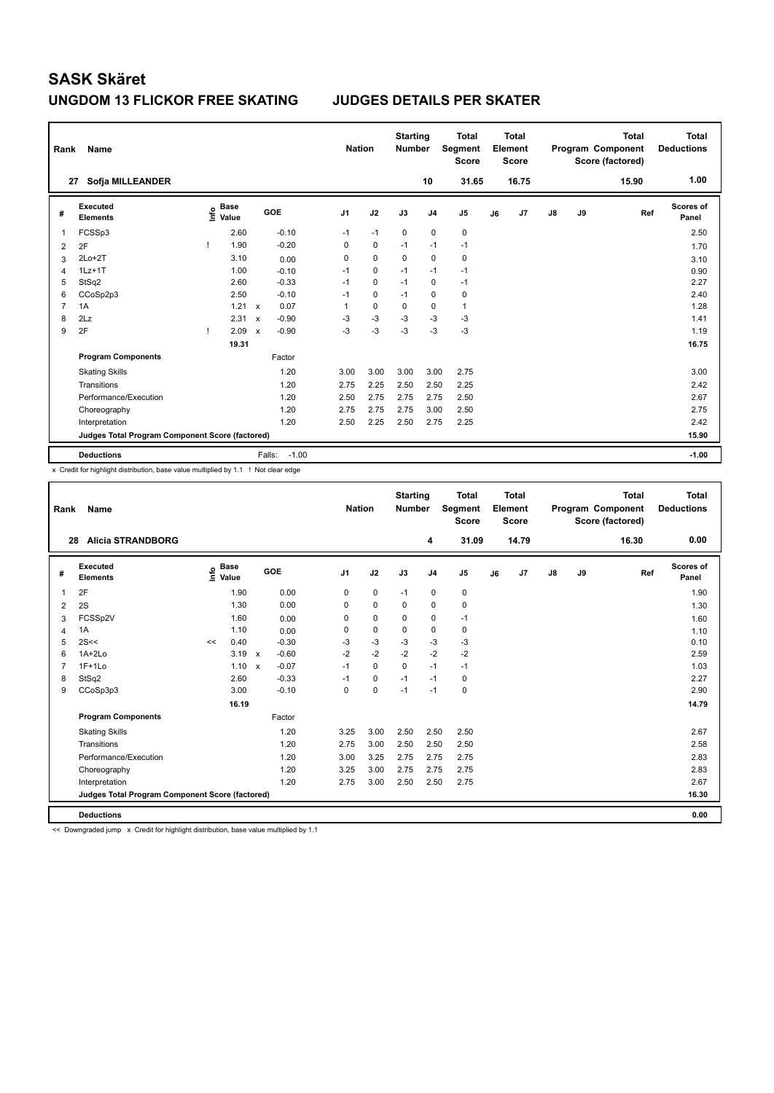### **UNGDOM 13 FLICKOR FREE SKATING JUDGES DETAILS PER SKATER**

|   | Rank<br>Name                                    |    |                                  |                           |                   |                | <b>Nation</b> |             | <b>Starting</b><br><b>Number</b> | <b>Total</b><br>Segment<br><b>Score</b> | <b>Total</b><br>Element<br><b>Score</b> |       |    |    | <b>Total</b><br>Program Component<br>Score (factored) | Total<br><b>Deductions</b> |
|---|-------------------------------------------------|----|----------------------------------|---------------------------|-------------------|----------------|---------------|-------------|----------------------------------|-----------------------------------------|-----------------------------------------|-------|----|----|-------------------------------------------------------|----------------------------|
|   | Sofja MILLEANDER<br>27                          |    |                                  |                           |                   |                |               |             | 10                               | 31.65                                   |                                         | 16.75 |    |    | 15.90                                                 | 1.00                       |
| # | Executed<br><b>Elements</b>                     |    | <b>Base</b><br>e Base<br>⊆ Value |                           | GOE               | J <sub>1</sub> | J2            | J3          | J <sub>4</sub>                   | J <sub>5</sub>                          | J6                                      | J7    | J8 | J9 | Ref                                                   | Scores of<br>Panel         |
| 1 | FCSSp3                                          |    | 2.60                             |                           | $-0.10$           | $-1$           | $-1$          | $\mathbf 0$ | $\mathbf 0$                      | $\pmb{0}$                               |                                         |       |    |    |                                                       | 2.50                       |
| 2 | 2F                                              | -1 | 1.90                             |                           | $-0.20$           | 0              | $\mathbf 0$   | $-1$        | $-1$                             | $-1$                                    |                                         |       |    |    |                                                       | 1.70                       |
| 3 | $2Lo+2T$                                        |    | 3.10                             |                           | 0.00              | 0              | $\mathbf 0$   | $\Omega$    | $\mathbf 0$                      | 0                                       |                                         |       |    |    |                                                       | 3.10                       |
| 4 | $1Lz+1T$                                        |    | 1.00                             |                           | $-0.10$           | $-1$           | 0             | $-1$        | $-1$                             | $-1$                                    |                                         |       |    |    |                                                       | 0.90                       |
| 5 | StSq2                                           |    | 2.60                             |                           | $-0.33$           | $-1$           | $\mathbf 0$   | $-1$        | $\mathbf 0$                      | $-1$                                    |                                         |       |    |    |                                                       | 2.27                       |
| 6 | CCoSp2p3                                        |    | 2.50                             |                           | $-0.10$           | $-1$           | $\Omega$      | $-1$        | 0                                | 0                                       |                                         |       |    |    |                                                       | 2.40                       |
| 7 | 1A                                              |    | 1.21                             | $\mathsf{x}$              | 0.07              | 1              | $\mathbf 0$   | $\mathbf 0$ | $\mathbf 0$                      | $\mathbf{1}$                            |                                         |       |    |    |                                                       | 1.28                       |
| 8 | 2Lz                                             |    | 2.31                             | $\boldsymbol{\mathsf{x}}$ | $-0.90$           | $-3$           | $-3$          | $-3$        | $-3$                             | $-3$                                    |                                         |       |    |    |                                                       | 1.41                       |
| 9 | 2F                                              | -1 | 2.09                             | $\boldsymbol{\mathsf{x}}$ | $-0.90$           | $-3$           | $-3$          | $-3$        | $-3$                             | $-3$                                    |                                         |       |    |    |                                                       | 1.19                       |
|   |                                                 |    | 19.31                            |                           |                   |                |               |             |                                  |                                         |                                         |       |    |    |                                                       | 16.75                      |
|   | <b>Program Components</b>                       |    |                                  |                           | Factor            |                |               |             |                                  |                                         |                                         |       |    |    |                                                       |                            |
|   | <b>Skating Skills</b>                           |    |                                  |                           | 1.20              | 3.00           | 3.00          | 3.00        | 3.00                             | 2.75                                    |                                         |       |    |    |                                                       | 3.00                       |
|   | Transitions                                     |    |                                  |                           | 1.20              | 2.75           | 2.25          | 2.50        | 2.50                             | 2.25                                    |                                         |       |    |    |                                                       | 2.42                       |
|   | Performance/Execution                           |    |                                  |                           | 1.20              | 2.50           | 2.75          | 2.75        | 2.75                             | 2.50                                    |                                         |       |    |    |                                                       | 2.67                       |
|   | Choreography                                    |    |                                  |                           | 1.20              | 2.75           | 2.75          | 2.75        | 3.00                             | 2.50                                    |                                         |       |    |    |                                                       | 2.75                       |
|   | Interpretation                                  |    |                                  |                           | 1.20              | 2.50           | 2.25          | 2.50        | 2.75                             | 2.25                                    |                                         |       |    |    |                                                       | 2.42                       |
|   | Judges Total Program Component Score (factored) |    |                                  |                           |                   |                |               |             |                                  |                                         |                                         |       |    |    |                                                       | 15.90                      |
|   | <b>Deductions</b>                               |    |                                  |                           | $-1.00$<br>Falls: |                |               |             |                                  |                                         |                                         |       |    |    |                                                       | $-1.00$                    |

x Credit for highlight distribution, base value multiplied by 1.1 ! Not clear edge

| Rank           | Name                                            |    |                                  |                           |         | <b>Nation</b>  |             | <b>Starting</b><br><b>Number</b> |                | <b>Total</b><br>Segment<br><b>Score</b> |    | Total<br>Element<br><b>Score</b> |    |    | <b>Total</b><br>Program Component<br>Score (factored) | <b>Total</b><br><b>Deductions</b> |
|----------------|-------------------------------------------------|----|----------------------------------|---------------------------|---------|----------------|-------------|----------------------------------|----------------|-----------------------------------------|----|----------------------------------|----|----|-------------------------------------------------------|-----------------------------------|
| 28             | <b>Alicia STRANDBORG</b>                        |    |                                  |                           |         |                |             |                                  | 4              | 31.09                                   |    | 14.79                            |    |    | 16.30                                                 | 0.00                              |
| #              | Executed<br><b>Elements</b>                     |    | <b>Base</b><br>e Base<br>E Value |                           | GOE     | J <sub>1</sub> | J2          | J3                               | J <sub>4</sub> | J <sub>5</sub>                          | J6 | J <sub>7</sub>                   | J8 | J9 | Ref                                                   | <b>Scores of</b><br>Panel         |
| 1              | 2F                                              |    | 1.90                             |                           | 0.00    | 0              | $\mathbf 0$ | $-1$                             | $\mathbf 0$    | 0                                       |    |                                  |    |    |                                                       | 1.90                              |
| 2              | 2S                                              |    | 1.30                             |                           | 0.00    | 0              | $\mathbf 0$ | 0                                | 0              | 0                                       |    |                                  |    |    |                                                       | 1.30                              |
| 3              | FCSSp2V                                         |    | 1.60                             |                           | 0.00    | 0              | $\mathbf 0$ | $\mathbf 0$                      | $\mathbf 0$    | $-1$                                    |    |                                  |    |    |                                                       | 1.60                              |
| 4              | 1A                                              |    | 1.10                             |                           | 0.00    | 0              | $\mathbf 0$ | $\Omega$                         | $\Omega$       | 0                                       |    |                                  |    |    |                                                       | 1.10                              |
| 5              | 2S<<                                            | << | 0.40                             |                           | $-0.30$ | $-3$           | $-3$        | $-3$                             | $-3$           | $-3$                                    |    |                                  |    |    |                                                       | 0.10                              |
| 6              | $1A+2Lo$                                        |    | 3.19                             | $\mathbf x$               | $-0.60$ | $-2$           | $-2$        | $-2$                             | $-2$           | $-2$                                    |    |                                  |    |    |                                                       | 2.59                              |
| $\overline{7}$ | $1F+1Lo$                                        |    | 1.10                             | $\boldsymbol{\mathsf{x}}$ | $-0.07$ | $-1$           | $\mathbf 0$ | $\mathbf 0$                      | $-1$           | $-1$                                    |    |                                  |    |    |                                                       | 1.03                              |
| 8              | StSq2                                           |    | 2.60                             |                           | $-0.33$ | $-1$           | $\mathbf 0$ | $-1$                             | $-1$           | 0                                       |    |                                  |    |    |                                                       | 2.27                              |
| 9              | CCoSp3p3                                        |    | 3.00                             |                           | $-0.10$ | 0              | $\mathbf 0$ | $-1$                             | $-1$           | 0                                       |    |                                  |    |    |                                                       | 2.90                              |
|                |                                                 |    | 16.19                            |                           |         |                |             |                                  |                |                                         |    |                                  |    |    |                                                       | 14.79                             |
|                | <b>Program Components</b>                       |    |                                  |                           | Factor  |                |             |                                  |                |                                         |    |                                  |    |    |                                                       |                                   |
|                | <b>Skating Skills</b>                           |    |                                  |                           | 1.20    | 3.25           | 3.00        | 2.50                             | 2.50           | 2.50                                    |    |                                  |    |    |                                                       | 2.67                              |
|                | Transitions                                     |    |                                  |                           | 1.20    | 2.75           | 3.00        | 2.50                             | 2.50           | 2.50                                    |    |                                  |    |    |                                                       | 2.58                              |
|                | Performance/Execution                           |    |                                  |                           | 1.20    | 3.00           | 3.25        | 2.75                             | 2.75           | 2.75                                    |    |                                  |    |    |                                                       | 2.83                              |
|                | Choreography                                    |    |                                  |                           | 1.20    | 3.25           | 3.00        | 2.75                             | 2.75           | 2.75                                    |    |                                  |    |    |                                                       | 2.83                              |
|                | Interpretation                                  |    |                                  |                           | 1.20    | 2.75           | 3.00        | 2.50                             | 2.50           | 2.75                                    |    |                                  |    |    |                                                       | 2.67                              |
|                | Judges Total Program Component Score (factored) |    |                                  |                           |         |                |             |                                  |                |                                         |    |                                  |    |    |                                                       | 16.30                             |
|                | <b>Deductions</b>                               |    |                                  |                           |         |                |             |                                  |                |                                         |    |                                  |    |    |                                                       | 0.00                              |

<< Downgraded jump x Credit for highlight distribution, base value multiplied by 1.1